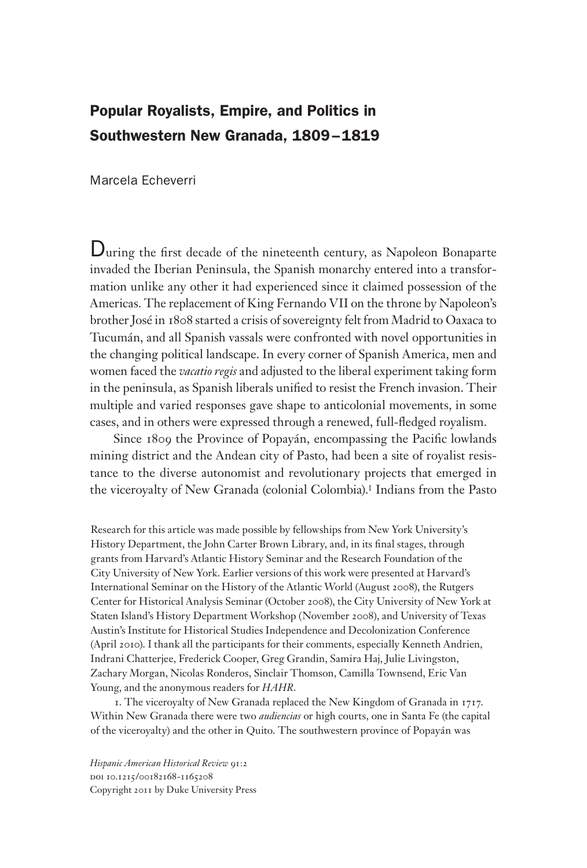# Popular Royalists, Empire, and Politics in Southwestern New Granada, 1809–1819

Marcela Echeverri

During the first decade of the nineteenth century, as Napoleon Bonaparte invaded the Iberian Peninsula, the Spanish monarchy entered into a transformation unlike any other it had experienced since it claimed possession of the Americas. The replacement of King Fernando VII on the throne by Napoleon's brother José in 1808 started a crisis of sovereignty felt from Madrid to Oaxaca to Tucumán, and all Spanish vassals were confronted with novel opportunities in the changing political landscape. In every corner of Spanish America, men and women faced the *vacatio regis* and adjusted to the liberal experiment taking form in the peninsula, as Spanish liberals unified to resist the French invasion. Their multiple and varied responses gave shape to anticolonial movements, in some cases, and in others were expressed through a renewed, full-fledged royalism.

Since 1809 the Province of Popayán, encompassing the Pacific lowlands mining district and the Andean city of Pasto, had been a site of royalist resistance to the diverse autonomist and revolutionary projects that emerged in the viceroyalty of New Granada (colonial Colombia).1 Indians from the Pasto

Research for this article was made possible by fellowships from New York University's History Department, the John Carter Brown Library, and, in its final stages, through grants from Harvard's Atlantic History Seminar and the Research Foundation of the City University of New York. Earlier versions of this work were presented at Harvard's International Seminar on the History of the Atlantic World (August 2008), the Rutgers Center for Historical Analysis Seminar (October 2008), the City University of New York at Staten Island's History Department Workshop (November 2008), and University of Texas Austin's Institute for Historical Studies Independence and Decolonization Conference (April 2010). I thank all the participants for their comments, especially Kenneth Andrien, Indrani Chatterjee, Frederick Cooper, Greg Grandin, Samira Haj, Julie Livingston, Zachary Morgan, Nicolas Ronderos, Sinclair Thomson, Camilla Townsend, Eric Van Young, and the anonymous readers for *HAHR*.

1. The viceroyalty of New Granada replaced the New Kingdom of Granada in 1717. Within New Granada there were two *audiencias* or high courts, one in Santa Fe (the capital of the viceroyalty) and the other in Quito. The southwestern province of Popayán was

*Hispanic American Historical Review* 91:2 DOI 10.1215/00182168-1165208 Copyright 2011 by Duke University Press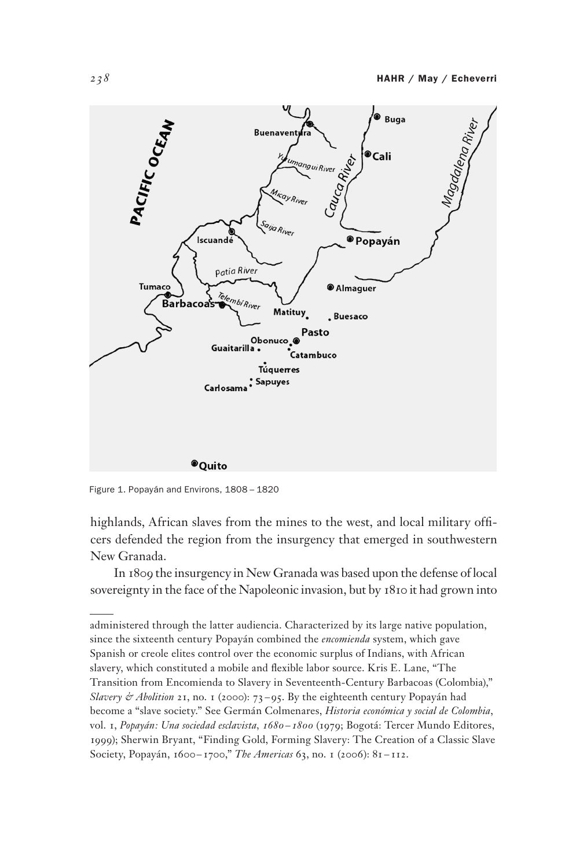

Figure 1. Popayán and Environs, 1808 – 1820

highlands, African slaves from the mines to the west, and local military officers defended the region from the insurgency that emerged in southwestern New Granada.

In 1809 the insurgency in New Granada was based upon the defense of local sovereignty in the face of the Napoleonic invasion, but by 1810 it had grown into

administered through the latter audiencia. Characterized by its large native population, since the sixteenth century Popayán combined the *encomienda* system, which gave Spanish or creole elites control over the economic surplus of Indians, with African slavery, which constituted a mobile and flexible labor source. Kris E. Lane, "The Transition from Encomienda to Slavery in Seventeenth-Century Barbacoas (Colombia)," *Slavery & Abolition* 21, no. 1 (2000): 73–95. By the eighteenth century Popayán had become a "slave society." See Germán Colmenares, *Historia económica y social de Colombia*, vol. 1, *Popayán: Una sociedad esclavista, 1680–1800* (1979; Bogotá: Tercer Mundo Editores, 1999); Sherwin Bryant, "Finding Gold, Forming Slavery: The Creation of a Classic Slave Society, Popayán, 1600–1700," *The Americas* 63, no. 1 (2006): 81–112.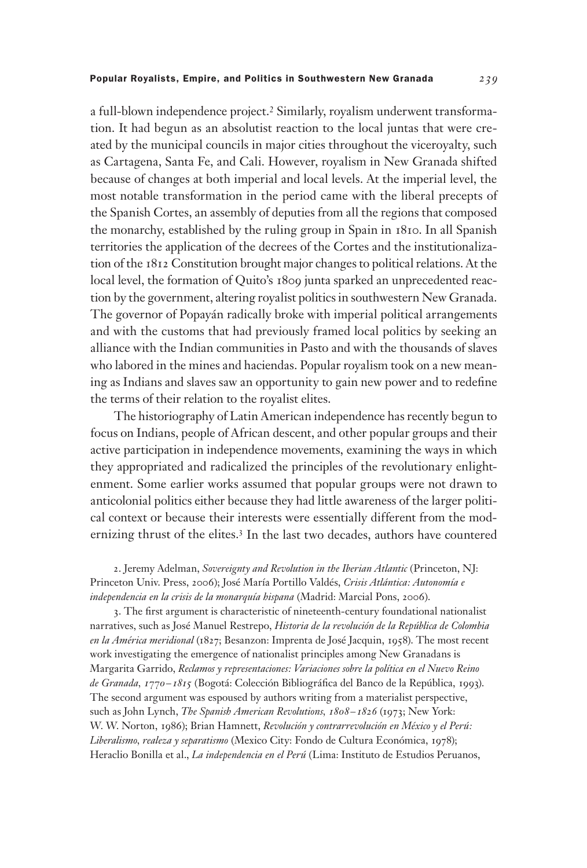a full-blown independence project.2 Similarly, royalism underwent transformation. It had begun as an absolutist reaction to the local juntas that were created by the municipal councils in major cities throughout the viceroyalty, such as Cartagena, Santa Fe, and Cali. However, royalism in New Granada shifted because of changes at both imperial and local levels. At the imperial level, the most notable transformation in the period came with the liberal precepts of the Spanish Cortes, an assembly of deputies from all the regions that composed the monarchy, established by the ruling group in Spain in 1810. In all Spanish territories the application of the decrees of the Cortes and the institutionalization of the 1812 Constitution brought major changes to political relations. At the local level, the formation of Quito's 1809 junta sparked an unprecedented reaction by the government, altering royalist politics in southwestern New Granada. The governor of Popayán radically broke with imperial political arrangements and with the customs that had previously framed local politics by seeking an alliance with the Indian communities in Pasto and with the thousands of slaves who labored in the mines and haciendas. Popular royalism took on a new meaning as Indians and slaves saw an opportunity to gain new power and to redefine the terms of their relation to the royalist elites.

The historiography of Latin American independence has recently begun to focus on Indians, people of African descent, and other popular groups and their active participation in independence movements, examining the ways in which they appropriated and radicalized the principles of the revolutionary enlightenment. Some earlier works assumed that popular groups were not drawn to anticolonial politics either because they had little awareness of the larger political context or because their interests were essentially different from the modernizing thrust of the elites.3 In the last two decades, authors have countered

2. Jeremy Adelman, *Sovereignty and Revolution in the Iberian Atlantic* (Princeton, NJ: Princeton Univ. Press, 2006); José María Portillo Valdés, *Crisis Atlántica: Autonomía e independencia en la crisis de la monarquía hispana* (Madrid: Marcial Pons, 2006).

3. The first argument is characteristic of nineteenth-century foundational nationalist narratives, such as José Manuel Restrepo, *Historia de la revolución de la República de Colombia en la América meridional* (1827; Besanzon: Imprenta de José Jacquin, 1958). The most recent work investigating the emergence of nationalist principles among New Granadans is Margarita Garrido, *Reclamos y representaciones: Variaciones sobre la política en el Nuevo Reino de Granada, 1770–1815* (Bogotá: Colección Bibliográfica del Banco de la República, 1993). The second argument was espoused by authors writing from a materialist perspective, such as John Lynch, *The Spanish American Revolutions*, 1808-1826 (1973; New York: W. W. Norton, 1986); Brian Hamnett, *Revolución y contrarrevolución en México y el Perú: Liberalismo, realeza y separatismo* (Mexico City: Fondo de Cultura Económica, 1978); Heraclio Bonilla et al., *La independencia en el Perú* (Lima: Instituto de Estudios Peruanos,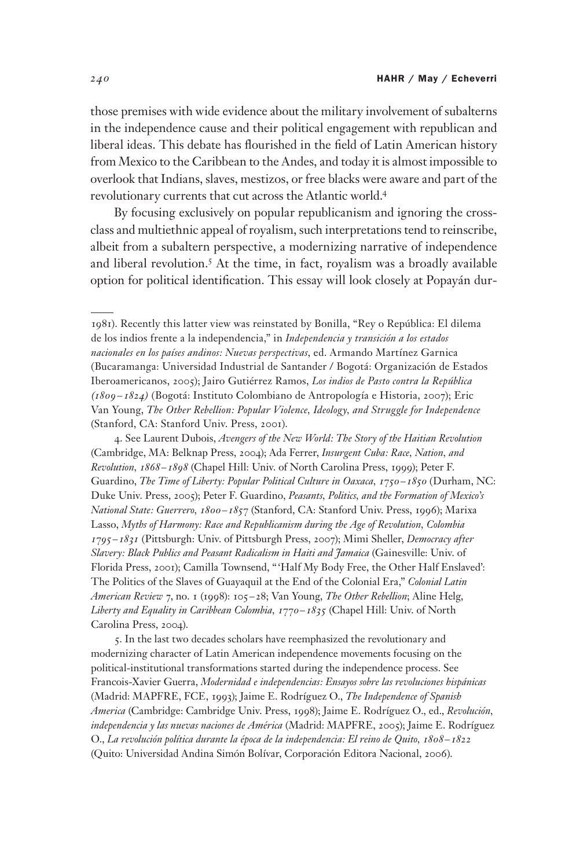those premises with wide evidence about the military involvement of subalterns in the independence cause and their political engagement with republican and liberal ideas. This debate has flourished in the field of Latin American history from Mexico to the Caribbean to the Andes, and today it is almost impossible to overlook that Indians, slaves, mestizos, or free blacks were aware and part of the revolutionary currents that cut across the Atlantic world.4

By focusing exclusively on popular republicanism and ignoring the crossclass and multiethnic appeal of royalism, such interpretations tend to reinscribe, albeit from a subaltern perspective, a modernizing narrative of independence and liberal revolution.<sup>5</sup> At the time, in fact, royalism was a broadly available option for political identification. This essay will look closely at Popayán dur-

4. See Laurent Dubois, *Avengers of the New World: The Story of the Haitian Revolution* (Cambridge, MA: Belknap Press, 2004); Ada Ferrer, *Insurgent Cuba: Race, Nation, and Revolution, 1868–1898* (Chapel Hill: Univ. of North Carolina Press, 1999); Peter F. Guardino, *The Time of Liberty: Popular Political Culture in Oaxaca, 1750–1850* (Durham, NC: Duke Univ. Press, 2005); Peter F. Guardino, *Peasants, Politics, and the Formation of Mexico's National State: Guerrero, 1800–1857* (Stanford, CA: Stanford Univ. Press, 1996); Marixa Lasso, *Myths of Harmony: Race and Republicanism during the Age of Revolution, Colombia 1795–1831* (Pittsburgh: Univ. of Pittsburgh Press, 2007); Mimi Sheller, *Democracy after Slavery: Black Publics and Peasant Radicalism in Haiti and Jamaica* (Gainesville: Univ. of Florida Press, 2001); Camilla Townsend, "'Half My Body Free, the Other Half Enslaved': The Politics of the Slaves of Guayaquil at the End of the Colonial Era," *Colonial Latin American Review* 7, no. 1 (1998): 105–28; Van Young, *The Other Rebellion*; Aline Helg, *Liberty and Equality in Caribbean Colombia, 1770–1835* (Chapel Hill: Univ. of North Carolina Press, 2004).

5. In the last two decades scholars have reemphasized the revolutionary and modernizing character of Latin American independence movements focusing on the political-institutional transformations started during the independence process. See Francois-Xavier Guerra, *Modernidad e independencias: Ensayos sobre las revoluciones hispánicas* (Madrid: MAPFRE, FCE, 1993); Jaime E. Rodríguez O., *The Independence of Spanish America* (Cambridge: Cambridge Univ. Press, 1998); Jaime E. Rodríguez O., ed., *Revolución, independencia y las nuevas naciones de América* (Madrid: MAPFRE, 2005); Jaime E. Rodríguez O., *La revolución política durante la época de la independencia: El reino de Quito, 1808–1822* (Quito: Universidad Andina Simón Bolívar, Corporación Editora Nacional, 2006).

<sup>1981</sup>). Recently this latter view was reinstated by Bonilla, "Rey o República: El dilema de los indios frente a la independencia," in *Independencia y transición a los estados nacionales en los países andinos: Nuevas perspectivas*, ed. Armando Martínez Garnica (Bucaramanga: Universidad Industrial de Santander / Bogotá: Organización de Estados Iberoamericanos, 2005); Jairo Gutiérrez Ramos, *Los indios de Pasto contra la República (1809–1824)* (Bogotá: Instituto Colombiano de Antropología e Historia, 2007); Eric Van Young, *The Other Rebellion: Popular Violence, Ideology, and Struggle for Independence*  (Stanford, CA: Stanford Univ. Press, 2001).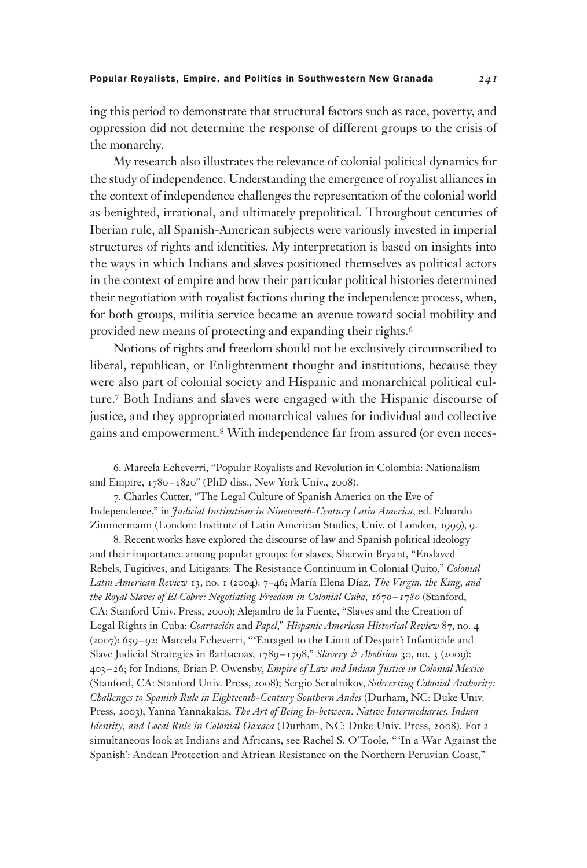ing this period to demonstrate that structural factors such as race, poverty, and oppression did not determine the response of different groups to the crisis of the monarchy.

My research also illustrates the relevance of colonial political dynamics for the study of independence. Understanding the emergence of royalist alliances in the context of independence challenges the representation of the colonial world as benighted, irrational, and ultimately prepolitical. Throughout centuries of Iberian rule, all Spanish-American subjects were variously invested in imperial structures of rights and identities. My interpretation is based on insights into the ways in which Indians and slaves positioned themselves as political actors in the context of empire and how their particular political histories determined their negotiation with royalist factions during the independence process, when, for both groups, militia service became an avenue toward social mobility and provided new means of protecting and expanding their rights.6

Notions of rights and freedom should not be exclusively circumscribed to liberal, republican, or Enlightenment thought and institutions, because they were also part of colonial society and Hispanic and monarchical political culture.7 Both Indians and slaves were engaged with the Hispanic discourse of justice, and they appropriated monarchical values for individual and collective gains and empowerment.8 With independence far from assured (or even neces-

6. Marcela Echeverri, "Popular Royalists and Revolution in Colombia: Nationalism and Empire, 1780–1820" (PhD diss., New York Univ., 2008).

7. Charles Cutter, "The Legal Culture of Spanish America on the Eve of Independence," in *Judicial Institutions in Nineteenth-Century Latin America*, ed. Eduardo Zimmermann (London: Institute of Latin American Studies, Univ. of London, 1999), 9.

8. Recent works have explored the discourse of law and Spanish political ideology and their importance among popular groups: for slaves, Sherwin Bryant, "Enslaved Rebels, Fugitives, and Litigants: The Resistance Continuum in Colonial Quito," *Colonial Latin American Review* 13, no. 1 (2004): 7–46; María Elena Díaz, *The Virgin, the King, and the Royal Slaves of El Cobre: Negotiating Freedom in Colonial Cuba, 1670–1780* (Stanford, CA: Stanford Univ. Press, 2000); Alejandro de la Fuente, "Slaves and the Creation of Legal Rights in Cuba: *Coartación* and *Papel*," *Hispanic American Historical Review* 87, no. 4 (2007): 659–92; Marcela Echeverri, "'Enraged to the Limit of Despair': Infanticide and Slave Judicial Strategies in Barbacoas, 1789–1798," *Slavery & Abolition* 30, no. 3 (2009): 403–26; for Indians, Brian P. Owensby, *Empire of Law and Indian Justice in Colonial Mexico* (Stanford, CA: Stanford Univ. Press, 2008); Sergio Serulnikov, *Subverting Colonial Authority: Challenges to Spanish Rule in Eighteenth-Century Southern Andes* (Durham, NC: Duke Univ. Press, 2003); Yanna Yannakakis, *The Art of Being In-between: Native Intermediaries, Indian Identity, and Local Rule in Colonial Oaxaca* (Durham, NC: Duke Univ. Press, 2008). For a simultaneous look at Indians and Africans, see Rachel S. O'Toole, " 'In a War Against the Spanish': Andean Protection and African Resistance on the Northern Peruvian Coast,"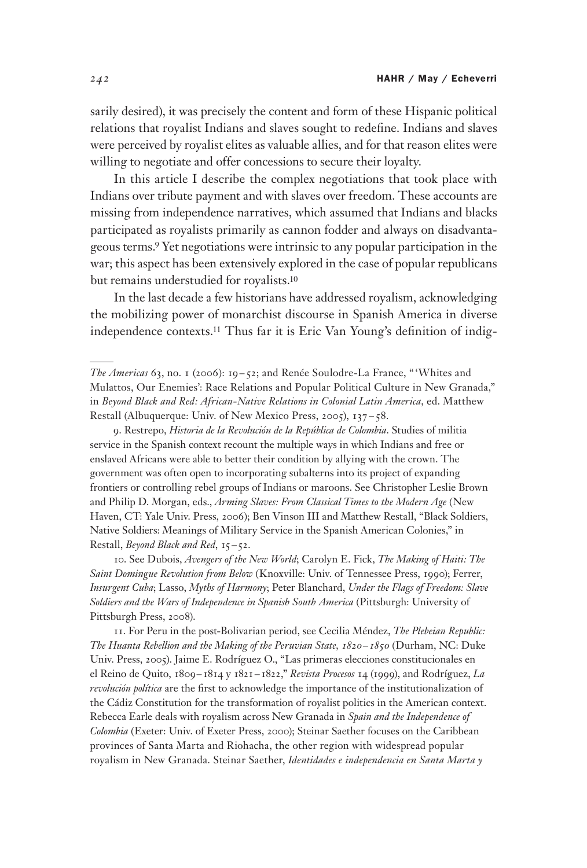sarily desired), it was precisely the content and form of these Hispanic political relations that royalist Indians and slaves sought to redefine. Indians and slaves were perceived by royalist elites as valuable allies, and for that reason elites were willing to negotiate and offer concessions to secure their loyalty.

In this article I describe the complex negotiations that took place with Indians over tribute payment and with slaves over freedom. These accounts are missing from independence narratives, which assumed that Indians and blacks participated as royalists primarily as cannon fodder and always on disadvantageous terms.9 Yet negotiations were intrinsic to any popular participation in the war; this aspect has been extensively explored in the case of popular republicans but remains understudied for royalists.10

In the last decade a few historians have addressed royalism, acknowledging the mobilizing power of monarchist discourse in Spanish America in diverse independence contexts.11 Thus far it is Eric Van Young's definition of indig-

9. Restrepo, *Historia de la Revolución de la República de Colombia*. Studies of militia service in the Spanish context recount the multiple ways in which Indians and free or enslaved Africans were able to better their condition by allying with the crown. The government was often open to incorporating subalterns into its project of expanding frontiers or controlling rebel groups of Indians or maroons. See Christopher Leslie Brown and Philip D. Morgan, eds., *Arming Slaves: From Classical Times to the Modern Age* (New Haven, CT: Yale Univ. Press, 2006); Ben Vinson III and Matthew Restall, "Black Soldiers, Native Soldiers: Meanings of Military Service in the Spanish American Colonies," in Restall, *Beyond Black and Red*, 15–52.

10. See Dubois, *Avengers of the New World*; Carolyn E. Fick, *The Making of Haiti: The Saint Domingue Revolution from Below* (Knoxville: Univ. of Tennessee Press, 1990); Ferrer, *Insurgent Cuba*; Lasso, *Myths of Harmony*; Peter Blanchard, *Under the Flags of Freedom: Slave Soldiers and the Wars of Independence in Spanish South America* (Pittsburgh: University of Pittsburgh Press, 2008).

11. For Peru in the post-Bolivarian period, see Cecilia Méndez, *The Plebeian Republic: The Huanta Rebellion and the Making of the Peruvian State, 1820–1850* (Durham, NC: Duke Univ. Press, 2005). Jaime E. Rodríguez O., "Las primeras elecciones constitucionales en el Reino de Quito, 1809–1814 y 1821–1822," *Revista Procesos* 14 (1999), and Rodríguez, *La revolución política* are the first to acknowledge the importance of the institutionalization of the Cádiz Constitution for the transformation of royalist politics in the American context. Rebecca Earle deals with royalism across New Granada in *Spain and the Independence of Colombia* (Exeter: Univ. of Exeter Press, 2000); Steinar Saether focuses on the Caribbean provinces of Santa Marta and Riohacha, the other region with widespread popular royalism in New Granada. Steinar Saether, *Identidades e independencia en Santa Marta y* 

*The Americas* 63, no. 1 (2006): 19–52; and Renée Soulodre-La France, " 'Whites and Mulattos, Our Enemies': Race Relations and Popular Political Culture in New Granada," in *Beyond Black and Red: African-Native Relations in Colonial Latin America*, ed. Matthew Restall (Albuquerque: Univ. of New Mexico Press, 2005), 137–58.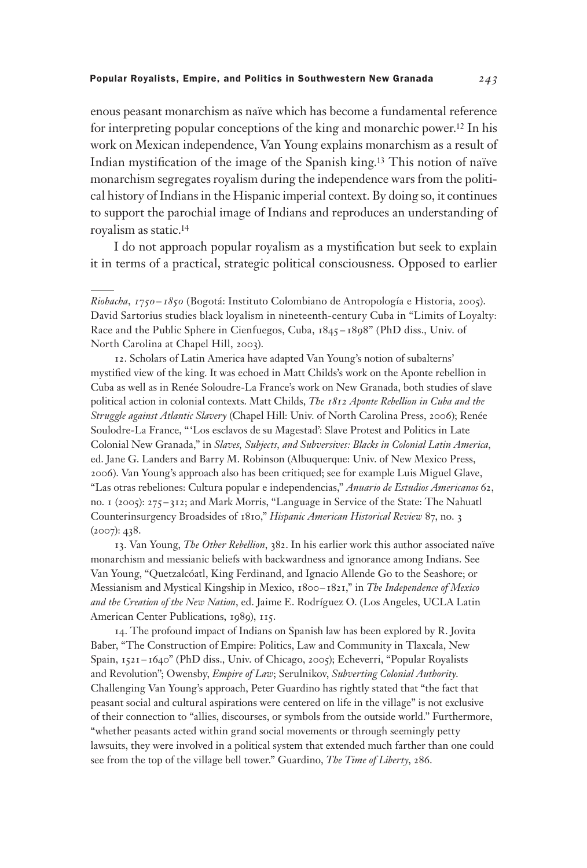#### Popular Royalists, Empire, and Politics in Southwestern New Granada *243*

enous peasant monarchism as naïve which has become a fundamental reference for interpreting popular conceptions of the king and monarchic power.12 In his work on Mexican independence, Van Young explains monarchism as a result of Indian mystification of the image of the Spanish king.13 This notion of naïve monarchism segregates royalism during the independence wars from the political history of Indians in the Hispanic imperial context. By doing so, it continues to support the parochial image of Indians and reproduces an understanding of royalism as static.14

I do not approach popular royalism as a mystification but seek to explain it in terms of a practical, strategic political consciousness. Opposed to earlier

12. Scholars of Latin America have adapted Van Young's notion of subalterns' mystified view of the king. It was echoed in Matt Childs's work on the Aponte rebellion in Cuba as well as in Renée Soloudre-La France's work on New Granada, both studies of slave political action in colonial contexts. Matt Childs, *The 1812 Aponte Rebellion in Cuba and the Struggle against Atlantic Slavery* (Chapel Hill: Univ. of North Carolina Press, 2006); Renée Soulodre-La France, "'Los esclavos de su Magestad': Slave Protest and Politics in Late Colonial New Granada," in *Slaves, Subjects, and Subversives: Blacks in Colonial Latin America,* ed. Jane G. Landers and Barry M. Robinson (Albuquerque: Univ. of New Mexico Press, 2006). Van Young's approach also has been critiqued; see for example Luis Miguel Glave, "Las otras rebeliones: Cultura popular e independencias," *Anuario de Estudios Americanos* 62, no. 1 (2005): 275–312; and Mark Morris, "Language in Service of the State: The Nahuatl Counterinsurgency Broadsides of 1810," *Hispanic American Historical Review* 87, no. 3 (2007): 438.

13. Van Young, *The Other Rebellion*, 382. In his earlier work this author associated naïve monarchism and messianic beliefs with backwardness and ignorance among Indians. See Van Young, "Quetzalcóatl, King Ferdinand, and Ignacio Allende Go to the Seashore; or Messianism and Mystical Kingship in Mexico, 1800–1821," in *The Independence of Mexico and the Creation of the New Nation*, ed. Jaime E. Rodríguez O. (Los Angeles, UCLA Latin American Center Publications, 1989), 115.

14. The profound impact of Indians on Spanish law has been explored by R. Jovita Baber, "The Construction of Empire: Politics, Law and Community in Tlaxcala, New Spain, 1521–1640" (PhD diss., Univ. of Chicago, 2005); Echeverri, "Popular Royalists and Revolution"; Owensby, *Empire of Law*; Serulnikov, *Subverting Colonial Authority*. Challenging Van Young's approach, Peter Guardino has rightly stated that "the fact that peasant social and cultural aspirations were centered on life in the village" is not exclusive of their connection to "allies, discourses, or symbols from the outside world." Furthermore, "whether peasants acted within grand social movements or through seemingly petty lawsuits, they were involved in a political system that extended much farther than one could see from the top of the village bell tower." Guardino, *The Time of Liberty*, 286.

*Riohacha, 1750–1850* (Bogotá: Instituto Colombiano de Antropología e Historia, 2005). David Sartorius studies black loyalism in nineteenth-century Cuba in "Limits of Loyalty: Race and the Public Sphere in Cienfuegos, Cuba, 1845–1898" (PhD diss., Univ. of North Carolina at Chapel Hill, 2003).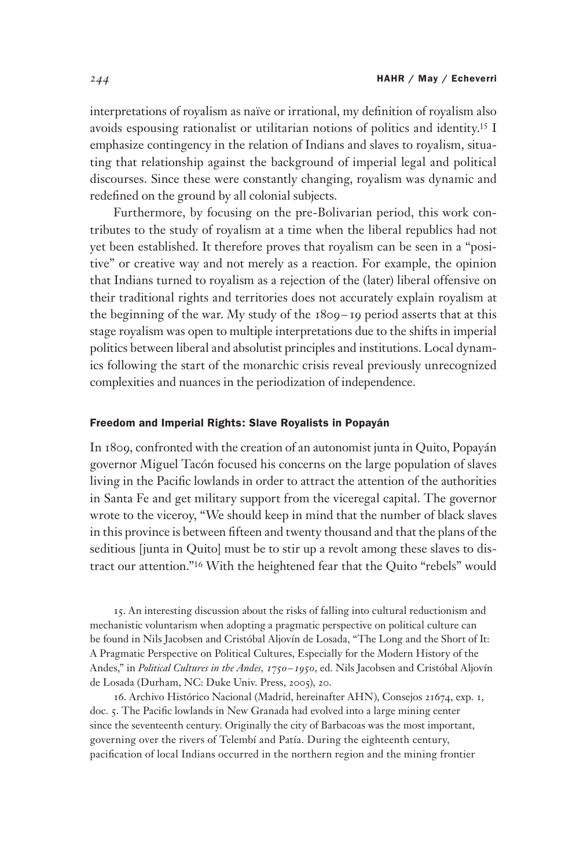interpretations of royalism as naïve or irrational, my definition of royalism also avoids espousing rationalist or utilitarian notions of politics and identity.15 I emphasize contingency in the relation of Indians and slaves to royalism, situating that relationship against the background of imperial legal and political discourses. Since these were constantly changing, royalism was dynamic and redefined on the ground by all colonial subjects.

Furthermore, by focusing on the pre-Bolivarian period, this work contributes to the study of royalism at a time when the liberal republics had not yet been established. It therefore proves that royalism can be seen in a "positive" or creative way and not merely as a reaction. For example, the opinion that Indians turned to royalism as a rejection of the (later) liberal offensive on their traditional rights and territories does not accurately explain royalism at the beginning of the war. My study of the 1809–19 period asserts that at this stage royalism was open to multiple interpretations due to the shifts in imperial politics between liberal and absolutist principles and institutions. Local dynamics following the start of the monarchic crisis reveal previously unrecognized complexities and nuances in the periodization of independence.

# Freedom and Imperial Rights: Slave Royalists in Popayán

In 1809, confronted with the creation of an autonomist junta in Quito, Popayán governor Miguel Tacón focused his concerns on the large population of slaves living in the Pacific lowlands in order to attract the attention of the authorities in Santa Fe and get military support from the viceregal capital. The governor wrote to the viceroy, "We should keep in mind that the number of black slaves in this province is between fifteen and twenty thousand and that the plans of the seditious [junta in Quito] must be to stir up a revolt among these slaves to distract our attention."16 With the heightened fear that the Quito "rebels" would

15. An interesting discussion about the risks of falling into cultural reductionism and mechanistic voluntarism when adopting a pragmatic perspective on political culture can be found in Nils Jacobsen and Cristóbal Aljovín de Losada, "The Long and the Short of It: A Pragmatic Perspective on Political Cultures, Especially for the Modern History of the Andes," in *Political Cultures in the Andes, 1750–1950*, ed. Nils Jacobsen and Cristóbal Aljovín de Losada (Durham, NC: Duke Univ. Press, 2005), 20.

16. Archivo Histórico Nacional (Madrid, hereinafter AHN), Consejos 21674, exp. 1, doc. 5. The Pacific lowlands in New Granada had evolved into a large mining center since the seventeenth century. Originally the city of Barbacoas was the most important, governing over the rivers of Telembí and Patía. During the eighteenth century, pacification of local Indians occurred in the northern region and the mining frontier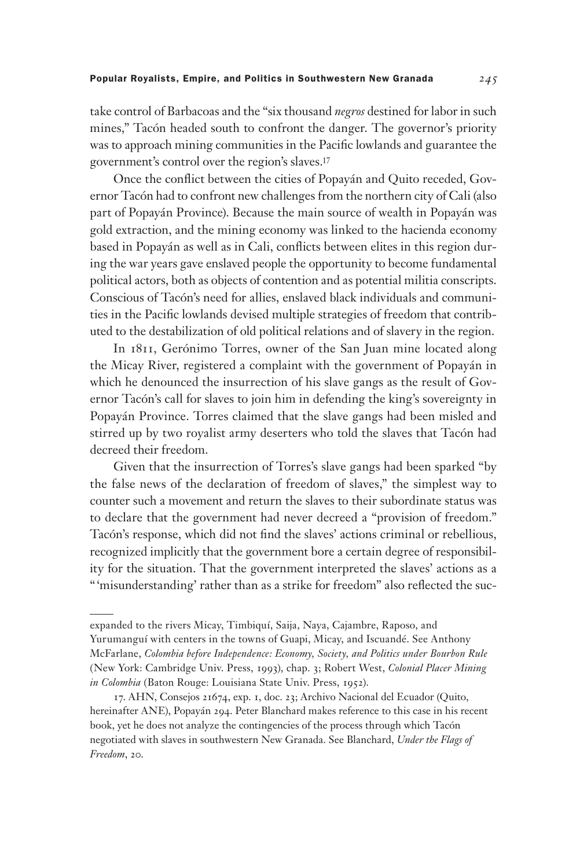take control of Barbacoas and the "six thousand *negros* destined for labor in such mines," Tacón headed south to confront the danger. The governor's priority was to approach mining communities in the Pacific lowlands and guarantee the government's control over the region's slaves.17

Once the conflict between the cities of Popayán and Quito receded, Governor Tacón had to confront new challenges from the northern city of Cali (also part of Popayán Province). Because the main source of wealth in Popayán was gold extraction, and the mining economy was linked to the hacienda economy based in Popayán as well as in Cali, conflicts between elites in this region during the war years gave enslaved people the opportunity to become fundamental political actors, both as objects of contention and as potential militia conscripts. Conscious of Tacón's need for allies, enslaved black individuals and communities in the Pacific lowlands devised multiple strategies of freedom that contributed to the destabilization of old political relations and of slavery in the region.

In 1811, Gerónimo Torres, owner of the San Juan mine located along the Micay River, registered a complaint with the government of Popayán in which he denounced the insurrection of his slave gangs as the result of Governor Tacón's call for slaves to join him in defending the king's sovereignty in Popayán Province. Torres claimed that the slave gangs had been misled and stirred up by two royalist army deserters who told the slaves that Tacón had decreed their freedom.

Given that the insurrection of Torres's slave gangs had been sparked "by the false news of the declaration of freedom of slaves," the simplest way to counter such a movement and return the slaves to their subordinate status was to declare that the government had never decreed a "provision of freedom." Tacón's response, which did not find the slaves' actions criminal or rebellious, recognized implicitly that the government bore a certain degree of responsibility for the situation. That the government interpreted the slaves' actions as a "'misunderstanding' rather than as a strike for freedom" also reflected the suc-

expanded to the rivers Micay, Timbiquí, Saija, Naya, Cajambre, Raposo, and Yurumanguí with centers in the towns of Guapi, Micay, and Iscuandé. See Anthony McFarlane, *Colombia before Independence: Economy, Society, and Politics under Bourbon Rule* (New York: Cambridge Univ. Press, 1993), chap. 3; Robert West, *Colonial Placer Mining in Colombia* (Baton Rouge: Louisiana State Univ. Press, 1952).

<sup>17</sup>. AHN, Consejos 21674, exp. 1, doc. 23; Archivo Nacional del Ecuador (Quito, hereinafter ANE), Popayán 294. Peter Blanchard makes reference to this case in his recent book, yet he does not analyze the contingencies of the process through which Tacón negotiated with slaves in southwestern New Granada. See Blanchard, *Under the Flags of Freedom*, 20.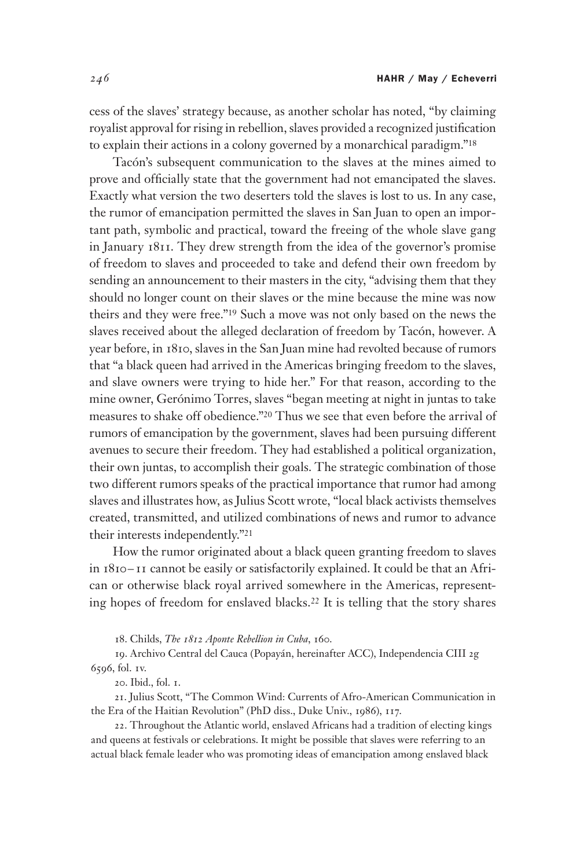cess of the slaves' strategy because, as another scholar has noted, "by claiming royalist approval for rising in rebellion, slaves provided a recognized justification to explain their actions in a colony governed by a monarchical paradigm."18

Tacón's subsequent communication to the slaves at the mines aimed to prove and officially state that the government had not emancipated the slaves. Exactly what version the two deserters told the slaves is lost to us. In any case, the rumor of emancipation permitted the slaves in San Juan to open an important path, symbolic and practical, toward the freeing of the whole slave gang in January 1811. They drew strength from the idea of the governor's promise of freedom to slaves and proceeded to take and defend their own freedom by sending an announcement to their masters in the city, "advising them that they should no longer count on their slaves or the mine because the mine was now theirs and they were free."19 Such a move was not only based on the news the slaves received about the alleged declaration of freedom by Tacón, however. A year before, in 1810, slaves in the San Juan mine had revolted because of rumors that "a black queen had arrived in the Americas bringing freedom to the slaves, and slave owners were trying to hide her." For that reason, according to the mine owner, Gerónimo Torres, slaves "began meeting at night in juntas to take measures to shake off obedience."20 Thus we see that even before the arrival of rumors of emancipation by the government, slaves had been pursuing different avenues to secure their freedom. They had established a political organization, their own juntas, to accomplish their goals. The strategic combination of those two different rumors speaks of the practical importance that rumor had among slaves and illustrates how, as Julius Scott wrote, "local black activists themselves created, transmitted, and utilized combinations of news and rumor to advance their interests independently."21

How the rumor originated about a black queen granting freedom to slaves in 1810–11 cannot be easily or satisfactorily explained. It could be that an African or otherwise black royal arrived somewhere in the Americas, representing hopes of freedom for enslaved blacks.22 It is telling that the story shares

18. Childs, *The 1812 Aponte Rebellion in Cuba*, 160.

19. Archivo Central del Cauca (Popayán, hereinafter ACC), Independencia CIII 2g 6596, fol. 1v.

20. Ibid., fol. 1.

21. Julius Scott, "The Common Wind: Currents of Afro-American Communication in the Era of the Haitian Revolution" (PhD diss., Duke Univ., 1986), 117.

22. Throughout the Atlantic world, enslaved Africans had a tradition of electing kings and queens at festivals or celebrations. It might be possible that slaves were referring to an actual black female leader who was promoting ideas of emancipation among enslaved black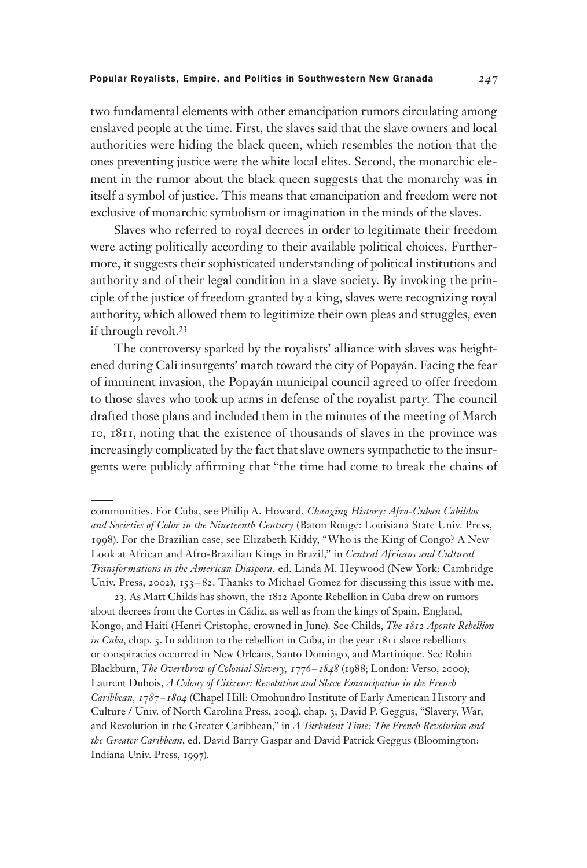two fundamental elements with other emancipation rumors circulating among enslaved people at the time. First, the slaves said that the slave owners and local authorities were hiding the black queen, which resembles the notion that the ones preventing justice were the white local elites. Second, the monarchic element in the rumor about the black queen suggests that the monarchy was in itself a symbol of justice. This means that emancipation and freedom were not exclusive of monarchic symbolism or imagination in the minds of the slaves.

Slaves who referred to royal decrees in order to legitimate their freedom were acting politically according to their available political choices. Furthermore, it suggests their sophisticated understanding of political institutions and authority and of their legal condition in a slave society. By invoking the principle of the justice of freedom granted by a king, slaves were recognizing royal authority, which allowed them to legitimize their own pleas and struggles, even if through revolt.23

The controversy sparked by the royalists' alliance with slaves was heightened during Cali insurgents' march toward the city of Popayán. Facing the fear of imminent invasion, the Popayán municipal council agreed to offer freedom to those slaves who took up arms in defense of the royalist party. The council drafted those plans and included them in the minutes of the meeting of March 10, 1811, noting that the existence of thousands of slaves in the province was increasingly complicated by the fact that slave owners sympathetic to the insurgents were publicly affirming that "the time had come to break the chains of

23. As Matt Childs has shown, the 1812 Aponte Rebellion in Cuba drew on rumors about decrees from the Cortes in Cádiz, as well as from the kings of Spain, England, Kongo, and Haiti (Henri Cristophe, crowned in June). See Childs, *The 1812 Aponte Rebellion in Cuba*, chap. 5. In addition to the rebellion in Cuba, in the year 1811 slave rebellions or conspiracies occurred in New Orleans, Santo Domingo, and Martinique. See Robin Blackburn, *The Overthrow of Colonial Slavery, 1776–1848* (1988; London: Verso, 2000); Laurent Dubois, *A Colony of Citizens: Revolution and Slave Emancipation in the French Caribbean, 1787–1804* (Chapel Hill: Omohundro Institute of Early American History and Culture / Univ. of North Carolina Press, 2004), chap. 3; David P. Geggus, "Slavery, War, and Revolution in the Greater Caribbean," in *A Turbulent Time: The French Revolution and the Greater Caribbean*, ed. David Barry Gaspar and David Patrick Geggus (Bloomington: Indiana Univ. Press, 1997).

communities. For Cuba, see Philip A. Howard, *Changing History: Afro-Cuban Cabildos and Societies of Color in the Nineteenth Century* (Baton Rouge: Louisiana State Univ. Press, 1998). For the Brazilian case, see Elizabeth Kiddy, "Who is the King of Congo? A New Look at African and Afro-Brazilian Kings in Brazil," in *Central Africans and Cultural Transformations in the American Diaspora*, ed. Linda M. Heywood (New York: Cambridge Univ. Press, 2002), 153–82. Thanks to Michael Gomez for discussing this issue with me.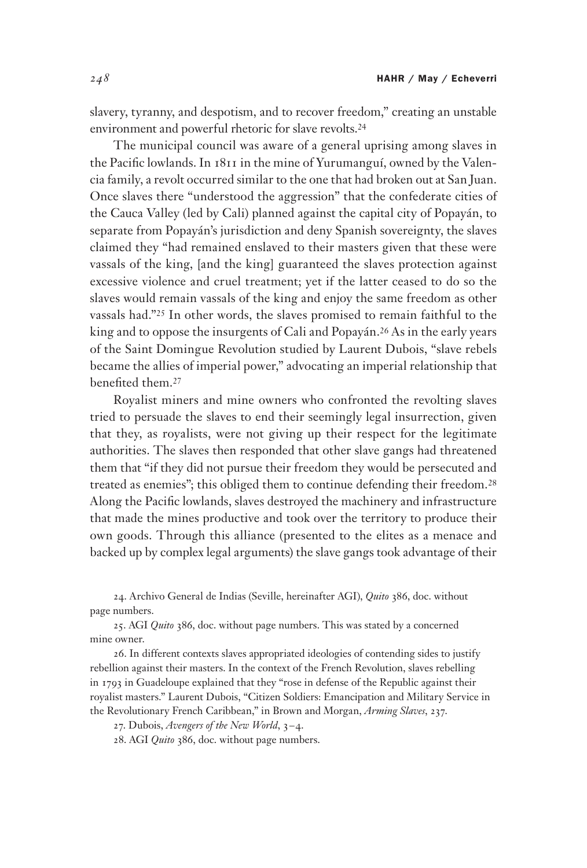slavery, tyranny, and despotism, and to recover freedom," creating an unstable environment and powerful rhetoric for slave revolts.24

The municipal council was aware of a general uprising among slaves in the Pacific lowlands. In 1811 in the mine of Yurumanguí, owned by the Valencia family, a revolt occurred similar to the one that had broken out at San Juan. Once slaves there "understood the aggression" that the confederate cities of the Cauca Valley (led by Cali) planned against the capital city of Popayán, to separate from Popayán's jurisdiction and deny Spanish sovereignty, the slaves claimed they "had remained enslaved to their masters given that these were vassals of the king, [and the king] guaranteed the slaves protection against excessive violence and cruel treatment; yet if the latter ceased to do so the slaves would remain vassals of the king and enjoy the same freedom as other vassals had."25 In other words, the slaves promised to remain faithful to the king and to oppose the insurgents of Cali and Popayán.<sup>26</sup> As in the early years of the Saint Domingue Revolution studied by Laurent Dubois, "slave rebels became the allies of imperial power," advocating an imperial relationship that benefited them.27

Royalist miners and mine owners who confronted the revolting slaves tried to persuade the slaves to end their seemingly legal insurrection, given that they, as royalists, were not giving up their respect for the legitimate authorities. The slaves then responded that other slave gangs had threatened them that "if they did not pursue their freedom they would be persecuted and treated as enemies"; this obliged them to continue defending their freedom.28 Along the Pacific lowlands, slaves destroyed the machinery and infrastructure that made the mines productive and took over the territory to produce their own goods. Through this alliance (presented to the elites as a menace and backed up by complex legal arguments) the slave gangs took advantage of their

24. Archivo General de Indias (Seville, hereinafter AGI), *Quito* 386, doc. without page numbers.

25. AGI *Quito* 386, doc. without page numbers. This was stated by a concerned mine owner.

26. In different contexts slaves appropriated ideologies of contending sides to justify rebellion against their masters. In the context of the French Revolution, slaves rebelling in 1793 in Guadeloupe explained that they "rose in defense of the Republic against their royalist masters." Laurent Dubois, "Citizen Soldiers: Emancipation and Military Service in the Revolutionary French Caribbean," in Brown and Morgan, *Arming Slaves*, 237.

27. Dubois, *Avengers of the New World*, 3–4.

28. AGI *Quito* 386, doc. without page numbers.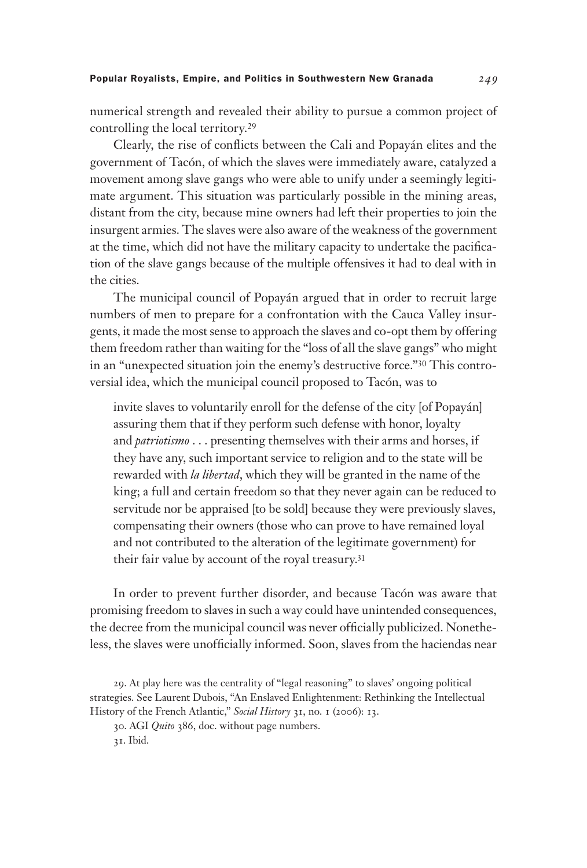numerical strength and revealed their ability to pursue a common project of controlling the local territory.29

Clearly, the rise of conflicts between the Cali and Popayán elites and the government of Tacón, of which the slaves were immediately aware, catalyzed a movement among slave gangs who were able to unify under a seemingly legitimate argument. This situation was particularly possible in the mining areas, distant from the city, because mine owners had left their properties to join the insurgent armies. The slaves were also aware of the weakness of the government at the time, which did not have the military capacity to undertake the pacification of the slave gangs because of the multiple offensives it had to deal with in the cities.

The municipal council of Popayán argued that in order to recruit large numbers of men to prepare for a confrontation with the Cauca Valley insurgents, it made the most sense to approach the slaves and co-opt them by offering them freedom rather than waiting for the "loss of all the slave gangs" who might in an "unexpected situation join the enemy's destructive force."30 This controversial idea, which the municipal council proposed to Tacón, was to

invite slaves to voluntarily enroll for the defense of the city [of Popayán] assuring them that if they perform such defense with honor, loyalty and *patriotismo* . . . presenting themselves with their arms and horses, if they have any, such important service to religion and to the state will be rewarded with *la libertad*, which they will be granted in the name of the king; a full and certain freedom so that they never again can be reduced to servitude nor be appraised [to be sold] because they were previously slaves, compensating their owners (those who can prove to have remained loyal and not contributed to the alteration of the legitimate government) for their fair value by account of the royal treasury.<sup>31</sup>

In order to prevent further disorder, and because Tacón was aware that promising freedom to slaves in such a way could have unintended consequences, the decree from the municipal council was never officially publicized. Nonetheless, the slaves were unofficially informed. Soon, slaves from the haciendas near

<sup>29</sup>. At play here was the centrality of "legal reasoning" to slaves' ongoing political strategies. See Laurent Dubois, "An Enslaved Enlightenment: Rethinking the Intellectual History of the French Atlantic," *Social History* 31, no. 1 (2006): 13.

<sup>30</sup>. AGI *Quito* 386, doc. without page numbers.

<sup>31</sup>. Ibid.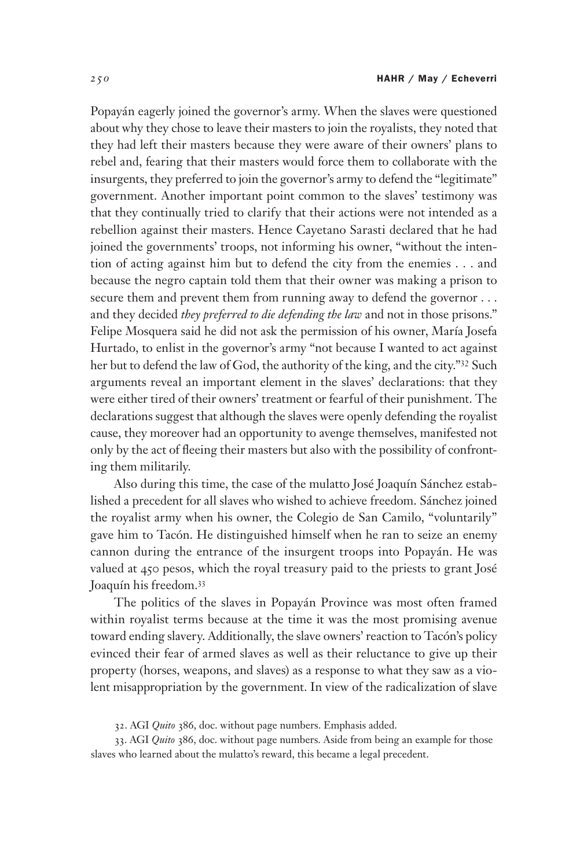Popayán eagerly joined the governor's army. When the slaves were questioned about why they chose to leave their masters to join the royalists, they noted that they had left their masters because they were aware of their owners' plans to rebel and, fearing that their masters would force them to collaborate with the insurgents, they preferred to join the governor's army to defend the "legitimate" government. Another important point common to the slaves' testimony was that they continually tried to clarify that their actions were not intended as a rebellion against their masters. Hence Cayetano Sarasti declared that he had joined the governments' troops, not informing his owner, "without the intention of acting against him but to defend the city from the enemies . . . and because the negro captain told them that their owner was making a prison to secure them and prevent them from running away to defend the governor ... and they decided *they preferred to die defending the law* and not in those prisons." Felipe Mosquera said he did not ask the permission of his owner, María Josefa Hurtado, to enlist in the governor's army "not because I wanted to act against her but to defend the law of God, the authority of the king, and the city."32 Such arguments reveal an important element in the slaves' declarations: that they were either tired of their owners' treatment or fearful of their punishment. The declarations suggest that although the slaves were openly defending the royalist cause, they moreover had an opportunity to avenge themselves, manifested not only by the act of fleeing their masters but also with the possibility of confronting them militarily.

Also during this time, the case of the mulatto José Joaquín Sánchez established a precedent for all slaves who wished to achieve freedom. Sánchez joined the royalist army when his owner, the Colegio de San Camilo, "voluntarily" gave him to Tacón. He distinguished himself when he ran to seize an enemy cannon during the entrance of the insurgent troops into Popayán. He was valued at 450 pesos, which the royal treasury paid to the priests to grant José Joaquín his freedom.33

The politics of the slaves in Popayán Province was most often framed within royalist terms because at the time it was the most promising avenue toward ending slavery. Additionally, the slave owners' reaction to Tacón's policy evinced their fear of armed slaves as well as their reluctance to give up their property (horses, weapons, and slaves) as a response to what they saw as a violent misappropriation by the government. In view of the radicalization of slave

<sup>32</sup>. AGI *Quito* 386, doc. without page numbers. Emphasis added.

<sup>33</sup>. AGI *Quito* 386, doc. without page numbers. Aside from being an example for those slaves who learned about the mulatto's reward, this became a legal precedent.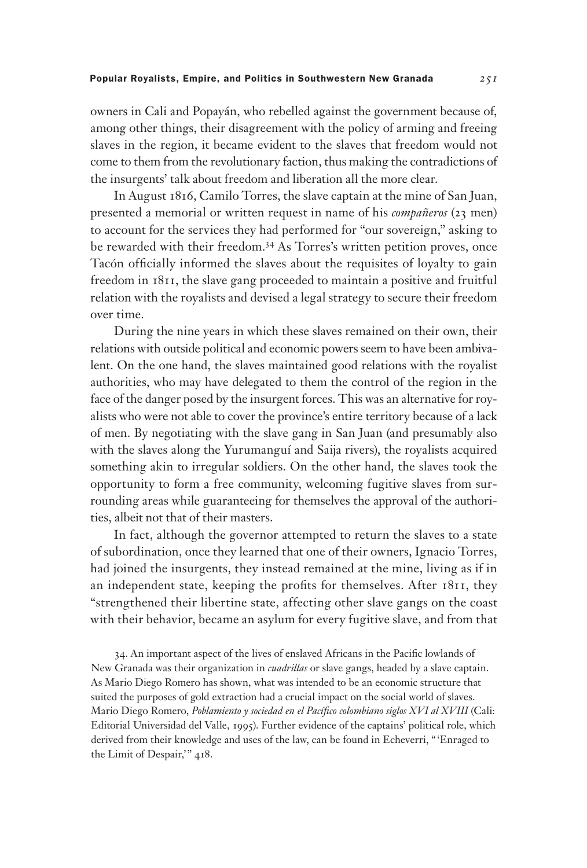owners in Cali and Popayán, who rebelled against the government because of, among other things, their disagreement with the policy of arming and freeing slaves in the region, it became evident to the slaves that freedom would not come to them from the revolutionary faction, thus making the contradictions of the insurgents' talk about freedom and liberation all the more clear.

In August 1816, Camilo Torres, the slave captain at the mine of San Juan, presented a memorial or written request in name of his *compañeros* (23 men) to account for the services they had performed for "our sovereign," asking to be rewarded with their freedom.<sup>34</sup> As Torres's written petition proves, once Tacón officially informed the slaves about the requisites of loyalty to gain freedom in 1811, the slave gang proceeded to maintain a positive and fruitful relation with the royalists and devised a legal strategy to secure their freedom over time.

During the nine years in which these slaves remained on their own, their relations with outside political and economic powers seem to have been ambivalent. On the one hand, the slaves maintained good relations with the royalist authorities, who may have delegated to them the control of the region in the face of the danger posed by the insurgent forces. This was an alternative for royalists who were not able to cover the province's entire territory because of a lack of men. By negotiating with the slave gang in San Juan (and presumably also with the slaves along the Yurumanguí and Saija rivers), the royalists acquired something akin to irregular soldiers. On the other hand, the slaves took the opportunity to form a free community, welcoming fugitive slaves from surrounding areas while guaranteeing for themselves the approval of the authorities, albeit not that of their masters.

In fact, although the governor attempted to return the slaves to a state of subordination, once they learned that one of their owners, Ignacio Torres, had joined the insurgents, they instead remained at the mine, living as if in an independent state, keeping the profits for themselves. After 1811, they "strengthened their libertine state, affecting other slave gangs on the coast with their behavior, became an asylum for every fugitive slave, and from that

34. An important aspect of the lives of enslaved Africans in the Pacific lowlands of New Granada was their organization in *cuadrillas* or slave gangs, headed by a slave captain. As Mario Diego Romero has shown, what was intended to be an economic structure that suited the purposes of gold extraction had a crucial impact on the social world of slaves. Mario Diego Romero, *Poblamiento y sociedad en el Pacífico colombiano siglos XVI al XVIII* (Cali: Editorial Universidad del Valle, 1995). Further evidence of the captains' political role, which derived from their knowledge and uses of the law, can be found in Echeverri, "'Enraged to the Limit of Despair,'" 418.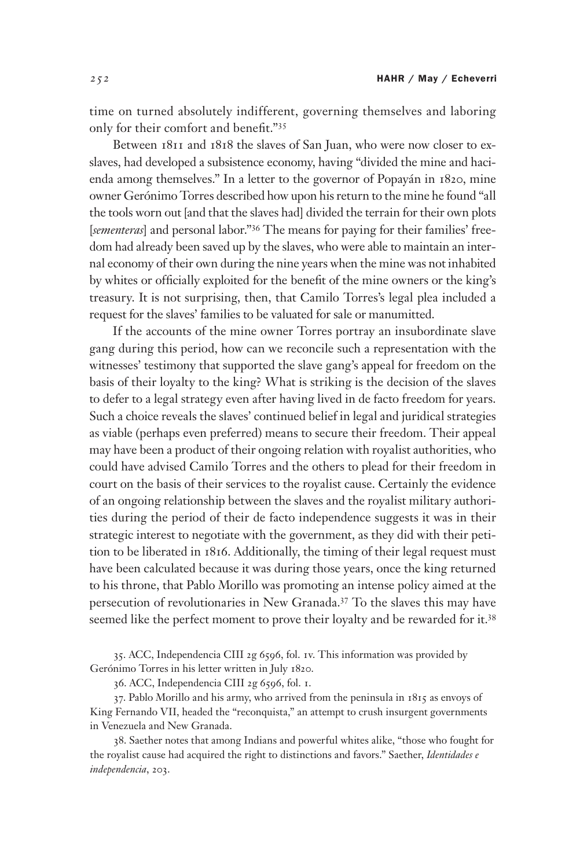time on turned absolutely indifferent, governing themselves and laboring only for their comfort and benefit."35

Between 1811 and 1818 the slaves of San Juan, who were now closer to exslaves, had developed a subsistence economy, having "divided the mine and hacienda among themselves." In a letter to the governor of Popayán in 1820, mine owner Gerónimo Torres described how upon his return to the mine he found "all the tools worn out [and that the slaves had] divided the terrain for their own plots [*sementeras*] and personal labor."<sup>36</sup> The means for paying for their families' freedom had already been saved up by the slaves, who were able to maintain an internal economy of their own during the nine years when the mine was not inhabited by whites or officially exploited for the benefit of the mine owners or the king's treasury. It is not surprising, then, that Camilo Torres's legal plea included a request for the slaves' families to be valuated for sale or manumitted.

If the accounts of the mine owner Torres portray an insubordinate slave gang during this period, how can we reconcile such a representation with the witnesses' testimony that supported the slave gang's appeal for freedom on the basis of their loyalty to the king? What is striking is the decision of the slaves to defer to a legal strategy even after having lived in de facto freedom for years. Such a choice reveals the slaves' continued belief in legal and juridical strategies as viable (perhaps even preferred) means to secure their freedom. Their appeal may have been a product of their ongoing relation with royalist authorities, who could have advised Camilo Torres and the others to plead for their freedom in court on the basis of their services to the royalist cause. Certainly the evidence of an ongoing relationship between the slaves and the royalist military authorities during the period of their de facto independence suggests it was in their strategic interest to negotiate with the government, as they did with their petition to be liberated in 1816. Additionally, the timing of their legal request must have been calculated because it was during those years, once the king returned to his throne, that Pablo Morillo was promoting an intense policy aimed at the persecution of revolutionaries in New Granada.37 To the slaves this may have seemed like the perfect moment to prove their loyalty and be rewarded for it.<sup>38</sup>

35. ACC, Independencia CIII 2g 6596, fol. 1v. This information was provided by Gerónimo Torres in his letter written in July 1820.

36. ACC, Independencia CIII 2g 6596, fol. 1.

37. Pablo Morillo and his army, who arrived from the peninsula in 1815 as envoys of King Fernando VII, headed the "reconquista," an attempt to crush insurgent governments in Venezuela and New Granada.

38. Saether notes that among Indians and powerful whites alike, "those who fought for the royalist cause had acquired the right to distinctions and favors." Saether, *Identidades e independencia*, 203.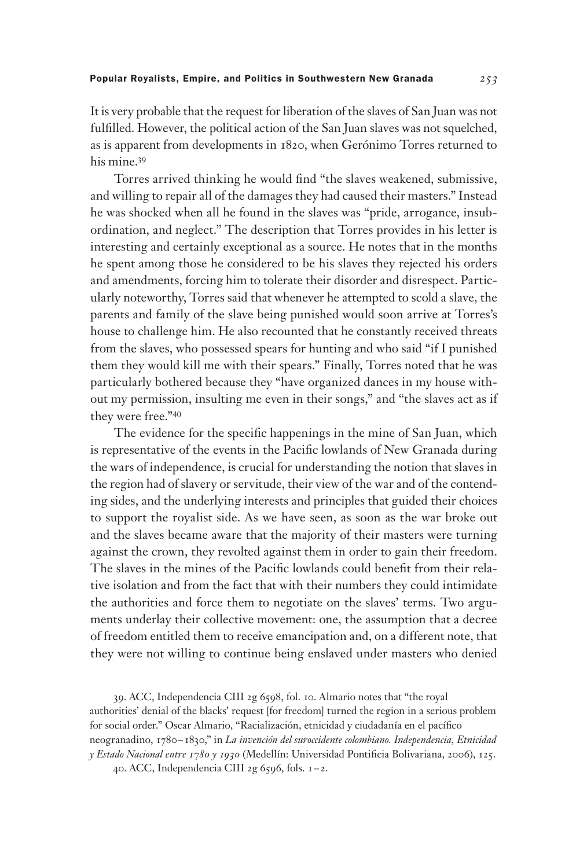#### Popular Royalists, Empire, and Politics in Southwestern New Granada *253*

It is very probable that the request for liberation of the slaves of San Juan was not fulfilled. However, the political action of the San Juan slaves was not squelched, as is apparent from developments in 1820, when Gerónimo Torres returned to his mine.<sup>39</sup>

Torres arrived thinking he would find "the slaves weakened, submissive, and willing to repair all of the damages they had caused their masters." Instead he was shocked when all he found in the slaves was "pride, arrogance, insubordination, and neglect." The description that Torres provides in his letter is interesting and certainly exceptional as a source. He notes that in the months he spent among those he considered to be his slaves they rejected his orders and amendments, forcing him to tolerate their disorder and disrespect. Particularly noteworthy, Torres said that whenever he attempted to scold a slave, the parents and family of the slave being punished would soon arrive at Torres's house to challenge him. He also recounted that he constantly received threats from the slaves, who possessed spears for hunting and who said "if I punished them they would kill me with their spears." Finally, Torres noted that he was particularly bothered because they "have organized dances in my house without my permission, insulting me even in their songs," and "the slaves act as if they were free."40

The evidence for the specific happenings in the mine of San Juan, which is representative of the events in the Pacific lowlands of New Granada during the wars of independence, is crucial for understanding the notion that slaves in the region had of slavery or servitude, their view of the war and of the contending sides, and the underlying interests and principles that guided their choices to support the royalist side. As we have seen, as soon as the war broke out and the slaves became aware that the majority of their masters were turning against the crown, they revolted against them in order to gain their freedom. The slaves in the mines of the Pacific lowlands could benefit from their relative isolation and from the fact that with their numbers they could intimidate the authorities and force them to negotiate on the slaves' terms. Two arguments underlay their collective movement: one, the assumption that a decree of freedom entitled them to receive emancipation and, on a different note, that they were not willing to continue being enslaved under masters who denied

39. ACC, Independencia CIII 2g 6598, fol. 10. Almario notes that "the royal authorities' denial of the blacks' request [for freedom] turned the region in a serious problem for social order." Oscar Almario, "Racialización, etnicidad y ciudadanía en el pacífico neogranadino, 1780–1830," in *La invención del suroccidente colombiano. Independencia, Etnicidad y Estado Nacional entre 1780 y 1930* (Medellín: Universidad Pontificia Bolivariana, 2006), 125.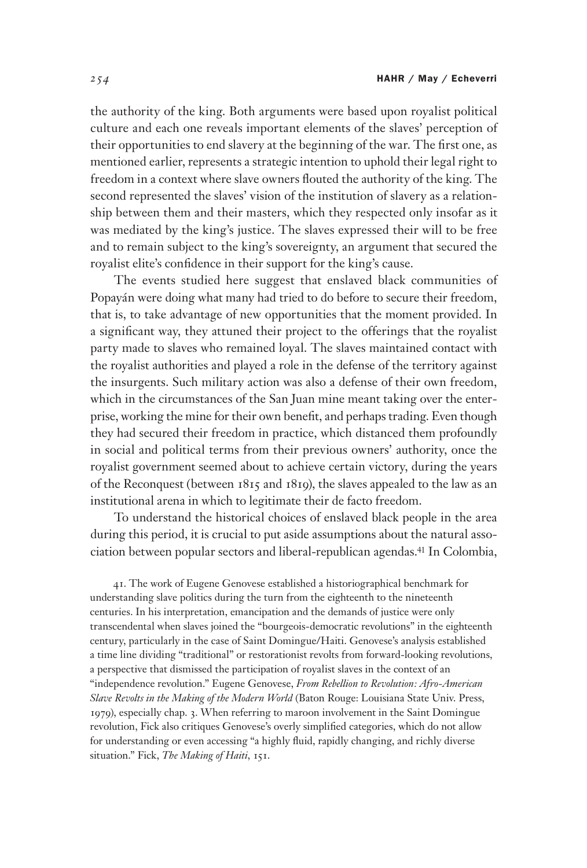the authority of the king. Both arguments were based upon royalist political culture and each one reveals important elements of the slaves' perception of their opportunities to end slavery at the beginning of the war. The first one, as mentioned earlier, represents a strategic intention to uphold their legal right to freedom in a context where slave owners flouted the authority of the king. The second represented the slaves' vision of the institution of slavery as a relationship between them and their masters, which they respected only insofar as it was mediated by the king's justice. The slaves expressed their will to be free and to remain subject to the king's sovereignty, an argument that secured the royalist elite's confidence in their support for the king's cause.

The events studied here suggest that enslaved black communities of Popayán were doing what many had tried to do before to secure their freedom, that is, to take advantage of new opportunities that the moment provided. In a significant way, they attuned their project to the offerings that the royalist party made to slaves who remained loyal. The slaves maintained contact with the royalist authorities and played a role in the defense of the territory against the insurgents. Such military action was also a defense of their own freedom, which in the circumstances of the San Juan mine meant taking over the enterprise, working the mine for their own benefit, and perhaps trading. Even though they had secured their freedom in practice, which distanced them profoundly in social and political terms from their previous owners' authority, once the royalist government seemed about to achieve certain victory, during the years of the Reconquest (between 1815 and 1819), the slaves appealed to the law as an institutional arena in which to legitimate their de facto freedom.

To understand the historical choices of enslaved black people in the area during this period, it is crucial to put aside assumptions about the natural association between popular sectors and liberal-republican agendas.41 In Colombia,

41. The work of Eugene Genovese established a historiographical benchmark for understanding slave politics during the turn from the eighteenth to the nineteenth centuries. In his interpretation, emancipation and the demands of justice were only transcendental when slaves joined the "bourgeois-democratic revolutions" in the eighteenth century, particularly in the case of Saint Domingue/Haiti. Genovese's analysis established a time line dividing "traditional" or restorationist revolts from forward-looking revolutions, a perspective that dismissed the participation of royalist slaves in the context of an "independence revolution." Eugene Genovese, *From Rebellion to Revolution: Afro-American Slave Revolts in the Making of the Modern World* (Baton Rouge: Louisiana State Univ. Press, 1979), especially chap. 3. When referring to maroon involvement in the Saint Domingue revolution, Fick also critiques Genovese's overly simplified categories, which do not allow for understanding or even accessing "a highly fluid, rapidly changing, and richly diverse situation." Fick, *The Making of Haiti*, 151.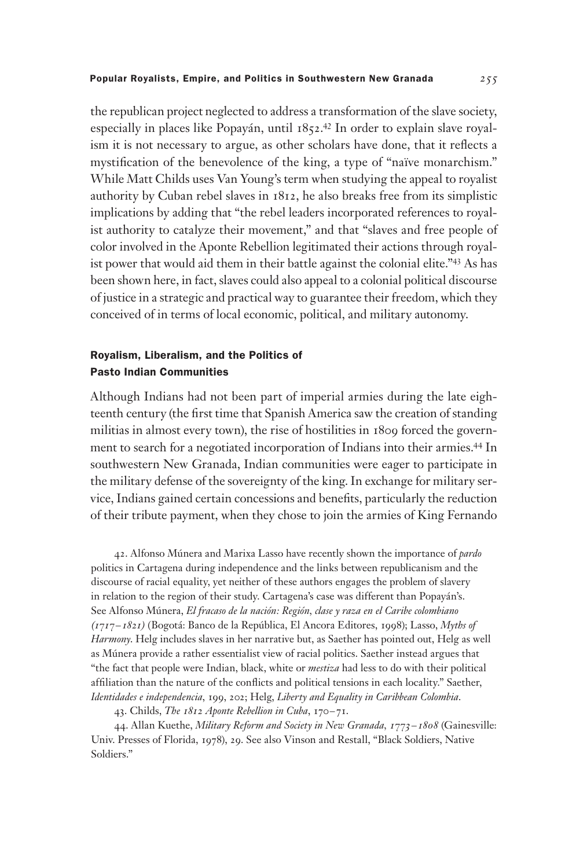the republican project neglected to address a transformation of the slave society, especially in places like Popayán, until 1852. 42 In order to explain slave royalism it is not necessary to argue, as other scholars have done, that it reflects a mystification of the benevolence of the king, a type of "naïve monarchism." While Matt Childs uses Van Young's term when studying the appeal to royalist authority by Cuban rebel slaves in 1812, he also breaks free from its simplistic implications by adding that "the rebel leaders incorporated references to royalist authority to catalyze their movement," and that "slaves and free people of color involved in the Aponte Rebellion legitimated their actions through royalist power that would aid them in their battle against the colonial elite."43 As has been shown here, in fact, slaves could also appeal to a colonial political discourse of justice in a strategic and practical way to guarantee their freedom, which they conceived of in terms of local economic, political, and military autonomy.

# Royalism, Liberalism, and the Politics of Pasto Indian Communities

Although Indians had not been part of imperial armies during the late eighteenth century (the first time that Spanish America saw the creation of standing militias in almost every town), the rise of hostilities in 1809 forced the government to search for a negotiated incorporation of Indians into their armies.44 In southwestern New Granada, Indian communities were eager to participate in the military defense of the sovereignty of the king. In exchange for military service, Indians gained certain concessions and benefits, particularly the reduction of their tribute payment, when they chose to join the armies of King Fernando

42. Alfonso Múnera and Marixa Lasso have recently shown the importance of *pardo* politics in Cartagena during independence and the links between republicanism and the discourse of racial equality, yet neither of these authors engages the problem of slavery in relation to the region of their study. Cartagena's case was different than Popayán's. See Alfonso Múnera, *El fracaso de la nación: Región, clase y raza en el Caribe colombiano (1717–1821)* (Bogotá: Banco de la República, El Ancora Editores, 1998); Lasso, *Myths of Harmony*. Helg includes slaves in her narrative but, as Saether has pointed out, Helg as well as Múnera provide a rather essentialist view of racial politics. Saether instead argues that "the fact that people were Indian, black, white or *mestiza* had less to do with their political affiliation than the nature of the conflicts and political tensions in each locality." Saether, *Identidades e independencia*, 199, 202; Helg, *Liberty and Equality in Caribbean Colombia*.

43. Childs, *The 1812 Aponte Rebellion in Cuba*, 170–71.

44. Allan Kuethe, *Military Reform and Society in New Granada, 1773–1808* (Gainesville: Univ. Presses of Florida, 1978), 29. See also Vinson and Restall, "Black Soldiers, Native Soldiers."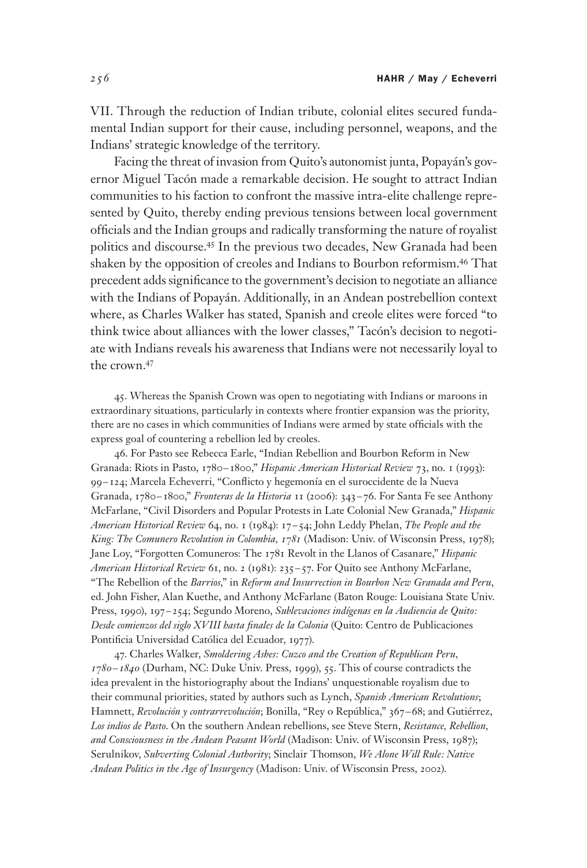VII. Through the reduction of Indian tribute, colonial elites secured fundamental Indian support for their cause, including personnel, weapons, and the Indians' strategic knowledge of the territory.

Facing the threat of invasion from Quito's autonomist junta, Popayán's governor Miguel Tacón made a remarkable decision. He sought to attract Indian communities to his faction to confront the massive intra-elite challenge represented by Quito, thereby ending previous tensions between local government officials and the Indian groups and radically transforming the nature of royalist politics and discourse.45 In the previous two decades, New Granada had been shaken by the opposition of creoles and Indians to Bourbon reformism.46 That precedent adds significance to the government's decision to negotiate an alliance with the Indians of Popayán. Additionally, in an Andean postrebellion context where, as Charles Walker has stated, Spanish and creole elites were forced "to think twice about alliances with the lower classes," Tacón's decision to negotiate with Indians reveals his awareness that Indians were not necessarily loyal to the crown.47

45. Whereas the Spanish Crown was open to negotiating with Indians or maroons in extraordinary situations, particularly in contexts where frontier expansion was the priority, there are no cases in which communities of Indians were armed by state officials with the express goal of countering a rebellion led by creoles.

46. For Pasto see Rebecca Earle, "Indian Rebellion and Bourbon Reform in New Granada: Riots in Pasto, 1780–1800," *Hispanic American Historical Review* 73, no. 1 (1993): 99–124; Marcela Echeverri, "Conflicto y hegemonía en el suroccidente de la Nueva Granada, 1780–1800," *Fronteras de la Historia* 11 (2006): 343–76. For Santa Fe see Anthony McFarlane, "Civil Disorders and Popular Protests in Late Colonial New Granada," *Hispanic American Historical Review* 64, no. 1 (1984): 17–54; John Leddy Phelan, *The People and the King: The Comunero Revolution in Colombia, 1781* (Madison: Univ. of Wisconsin Press, 1978); Jane Loy, "Forgotten Comuneros: The 1781 Revolt in the Llanos of Casanare," *Hispanic American Historical Review* 61, no. 2 (1981): 235–57. For Quito see Anthony McFarlane, "The Rebellion of the *Barrios*," in *Reform and Insurrection in Bourbon New Granada and Peru*, ed. John Fisher, Alan Kuethe, and Anthony McFarlane (Baton Rouge: Louisiana State Univ. Press, 1990), 197–254; Segundo Moreno, *Sublevaciones indígenas en la Audiencia de Quito: Desde comienzos del siglo XVIII hasta finales de la Colonia* (Quito: Centro de Publicaciones Pontificia Universidad Católica del Ecuador, 1977).

47. Charles Walker, *Smoldering Ashes: Cuzco and the Creation of Republican Peru, 1780–1840* (Durham, NC: Duke Univ. Press, 1999), 55. This of course contradicts the idea prevalent in the historiography about the Indians' unquestionable royalism due to their communal priorities, stated by authors such as Lynch, *Spanish American Revolutions*; Hamnett, *Revolución y contrarrevolución*; Bonilla, "Rey o República," 367-68; and Gutiérrez, *Los indios de Pasto*. On the southern Andean rebellions, see Steve Stern, *Resistance, Rebellion, and Consciousness in the Andean Peasant World* (Madison: Univ. of Wisconsin Press, 1987); Serulnikov, *Subverting Colonial Authority*; Sinclair Thomson, *We Alone Will Rule: Native Andean Politics in the Age of Insurgency* (Madison: Univ. of Wisconsin Press, 2002).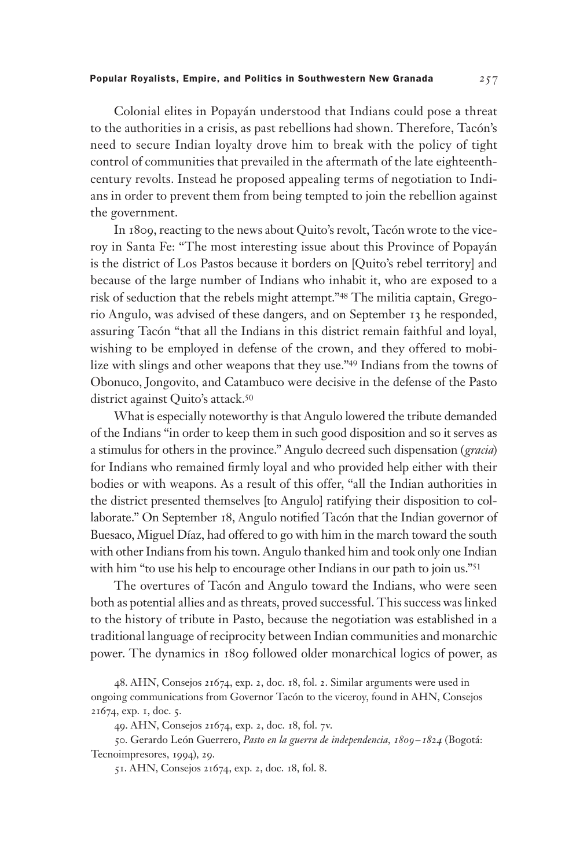#### Popular Royalists, Empire, and Politics in Southwestern New Granada *257*

Colonial elites in Popayán understood that Indians could pose a threat to the authorities in a crisis, as past rebellions had shown. Therefore, Tacón's need to secure Indian loyalty drove him to break with the policy of tight control of communities that prevailed in the aftermath of the late eighteenthcentury revolts. Instead he proposed appealing terms of negotiation to Indians in order to prevent them from being tempted to join the rebellion against the government.

In 1809, reacting to the news about Quito's revolt, Tacón wrote to the viceroy in Santa Fe: "The most interesting issue about this Province of Popayán is the district of Los Pastos because it borders on [Quito's rebel territory] and because of the large number of Indians who inhabit it, who are exposed to a risk of seduction that the rebels might attempt."48 The militia captain, Gregorio Angulo, was advised of these dangers, and on September 13 he responded, assuring Tacón "that all the Indians in this district remain faithful and loyal, wishing to be employed in defense of the crown, and they offered to mobilize with slings and other weapons that they use."49 Indians from the towns of Obonuco, Jongovito, and Catambuco were decisive in the defense of the Pasto district against Quito's attack.<sup>50</sup>

What is especially noteworthy is that Angulo lowered the tribute demanded of the Indians "in order to keep them in such good disposition and so it serves as a stimulus for others in the province." Angulo decreed such dispensation (*gracia*) for Indians who remained firmly loyal and who provided help either with their bodies or with weapons. As a result of this offer, "all the Indian authorities in the district presented themselves [to Angulo] ratifying their disposition to collaborate." On September 18, Angulo notified Tacón that the Indian governor of Buesaco, Miguel Díaz, had offered to go with him in the march toward the south with other Indians from his town. Angulo thanked him and took only one Indian with him "to use his help to encourage other Indians in our path to join us."<sup>51</sup>

The overtures of Tacón and Angulo toward the Indians, who were seen both as potential allies and as threats, proved successful. This success was linked to the history of tribute in Pasto, because the negotiation was established in a traditional language of reciprocity between Indian communities and monarchic power. The dynamics in 1809 followed older monarchical logics of power, as

49. AHN, Consejos 21674, exp. 2, doc. 18, fol. 7v.

50. Gerardo León Guerrero, *Pasto en la guerra de independencia, 1809–1824* (Bogotá: Tecnoimpresores, 1994), 29.

51. AHN, Consejos 21674, exp. 2, doc. 18, fol. 8.

<sup>48</sup>. AHN, Consejos 21674, exp. 2, doc. 18, fol. 2. Similar arguments were used in ongoing communications from Governor Tacón to the viceroy, found in AHN, Consejos 21674, exp. 1, doc. 5.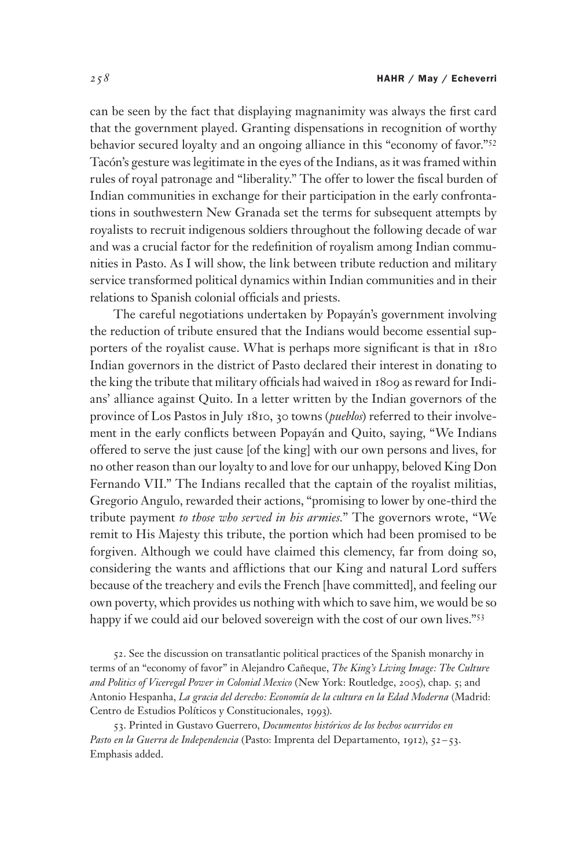can be seen by the fact that displaying magnanimity was always the first card that the government played. Granting dispensations in recognition of worthy behavior secured loyalty and an ongoing alliance in this "economy of favor."52 Tacón's gesture was legitimate in the eyes of the Indians, as it was framed within rules of royal patronage and "liberality." The offer to lower the fiscal burden of Indian communities in exchange for their participation in the early confrontations in southwestern New Granada set the terms for subsequent attempts by royalists to recruit indigenous soldiers throughout the following decade of war and was a crucial factor for the redefinition of royalism among Indian communities in Pasto. As I will show, the link between tribute reduction and military service transformed political dynamics within Indian communities and in their relations to Spanish colonial officials and priests.

The careful negotiations undertaken by Popayán's government involving the reduction of tribute ensured that the Indians would become essential supporters of the royalist cause. What is perhaps more significant is that in 1810 Indian governors in the district of Pasto declared their interest in donating to the king the tribute that military officials had waived in 1809 as reward for Indians' alliance against Quito. In a letter written by the Indian governors of the province of Los Pastos in July 1810, 30 towns (*pueblos*) referred to their involvement in the early conflicts between Popayán and Quito, saying, "We Indians offered to serve the just cause [of the king] with our own persons and lives, for no other reason than our loyalty to and love for our unhappy, beloved King Don Fernando VII." The Indians recalled that the captain of the royalist militias, Gregorio Angulo, rewarded their actions, "promising to lower by one-third the tribute payment *to those who served in his armies.*" The governors wrote, "We remit to His Majesty this tribute, the portion which had been promised to be forgiven. Although we could have claimed this clemency, far from doing so, considering the wants and afflictions that our King and natural Lord suffers because of the treachery and evils the French [have committed], and feeling our own poverty, which provides us nothing with which to save him, we would be so happy if we could aid our beloved sovereign with the cost of our own lives."<sup>53</sup>

52. See the discussion on transatlantic political practices of the Spanish monarchy in terms of an "economy of favor" in Alejandro Cañeque, *The King's Living Image: The Culture and Politics of Viceregal Power in Colonial Mexico* (New York: Routledge, 2005), chap. 5; and Antonio Hespanha, *La gracia del derecho: Economía de la cultura en la Edad Moderna* (Madrid: Centro de Estudios Políticos y Constitucionales, 1993).

53. Printed in Gustavo Guerrero, *Documentos históricos de los hechos ocurridos en Pasto en la Guerra de Independencia* (Pasto: Imprenta del Departamento, 1912), 52–53. Emphasis added.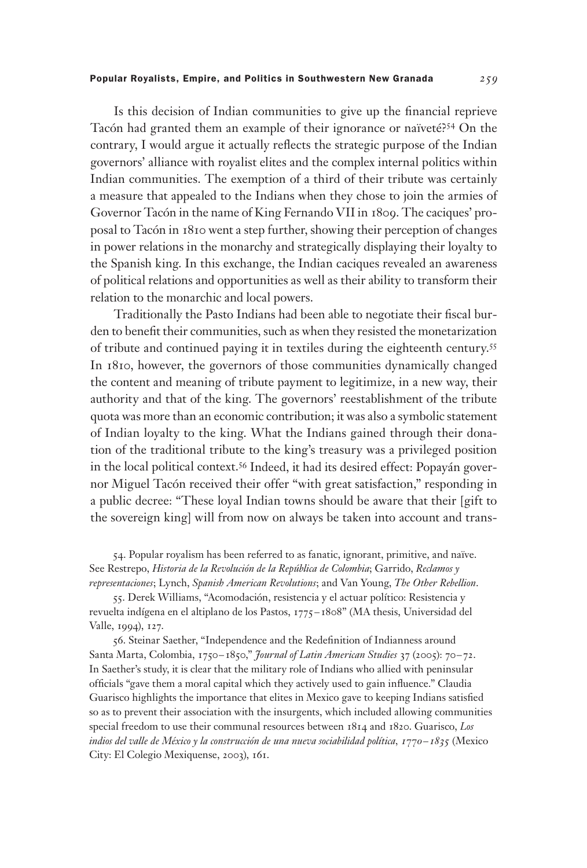#### Popular Royalists, Empire, and Politics in Southwestern New Granada *259*

Is this decision of Indian communities to give up the financial reprieve Tacón had granted them an example of their ignorance or naïveté?54 On the contrary, I would argue it actually reflects the strategic purpose of the Indian governors' alliance with royalist elites and the complex internal politics within Indian communities. The exemption of a third of their tribute was certainly a measure that appealed to the Indians when they chose to join the armies of Governor Tacón in the name of King Fernando VII in 1809. The caciques' proposal to Tacón in 1810 went a step further, showing their perception of changes in power relations in the monarchy and strategically displaying their loyalty to the Spanish king. In this exchange, the Indian caciques revealed an awareness of political relations and opportunities as well as their ability to transform their relation to the monarchic and local powers.

Traditionally the Pasto Indians had been able to negotiate their fiscal burden to benefit their communities, such as when they resisted the monetarization of tribute and continued paying it in textiles during the eighteenth century.55 In 1810, however, the governors of those communities dynamically changed the content and meaning of tribute payment to legitimize, in a new way, their authority and that of the king. The governors' reestablishment of the tribute quota was more than an economic contribution; it was also a symbolic statement of Indian loyalty to the king. What the Indians gained through their donation of the traditional tribute to the king's treasury was a privileged position in the local political context.56 Indeed, it had its desired effect: Popayán governor Miguel Tacón received their offer "with great satisfaction," responding in a public decree: "These loyal Indian towns should be aware that their [gift to the sovereign king] will from now on always be taken into account and trans-

54. Popular royalism has been referred to as fanatic, ignorant, primitive, and naïve. See Restrepo, *Historia de la Revolución de la República de Colombia*; Garrido, *Reclamos y representaciones*; Lynch, *Spanish American Revolutions*; and Van Young, *The Other Rebellion*.

55. Derek Williams, "Acomodación, resistencia y el actuar político: Resistencia y revuelta indígena en el altiplano de los Pastos, 1775–1808" (MA thesis, Universidad del Valle, 1994), 127.

56. Steinar Saether, "Independence and the Redefinition of Indianness around Santa Marta, Colombia, 1750–1850," *Journal of Latin American Studies* 37 (2005): 70–72. In Saether's study, it is clear that the military role of Indians who allied with peninsular officials "gave them a moral capital which they actively used to gain influence." Claudia Guarisco highlights the importance that elites in Mexico gave to keeping Indians satisfied so as to prevent their association with the insurgents, which included allowing communities special freedom to use their communal resources between 1814 and 1820. Guarisco, *Los indios del valle de México y la construcción de una nueva sociabilidad política, 1770–1835* (Mexico City: El Colegio Mexiquense, 2003), 161.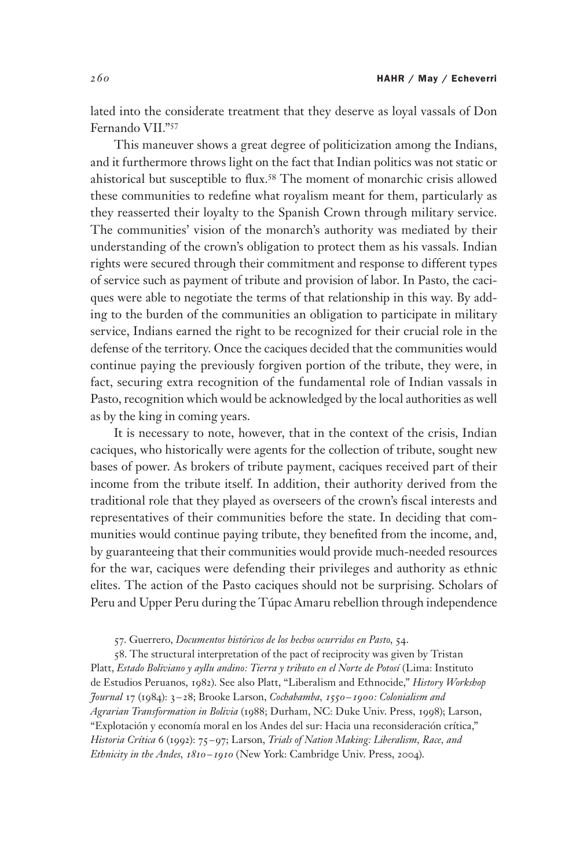lated into the considerate treatment that they deserve as loyal vassals of Don Fernando VII."57

This maneuver shows a great degree of politicization among the Indians, and it furthermore throws light on the fact that Indian politics was not static or ahistorical but susceptible to flux.58 The moment of monarchic crisis allowed these communities to redefine what royalism meant for them, particularly as they reasserted their loyalty to the Spanish Crown through military service. The communities' vision of the monarch's authority was mediated by their understanding of the crown's obligation to protect them as his vassals. Indian rights were secured through their commitment and response to different types of service such as payment of tribute and provision of labor. In Pasto, the caciques were able to negotiate the terms of that relationship in this way. By adding to the burden of the communities an obligation to participate in military service, Indians earned the right to be recognized for their crucial role in the defense of the territory. Once the caciques decided that the communities would continue paying the previously forgiven portion of the tribute, they were, in fact, securing extra recognition of the fundamental role of Indian vassals in Pasto, recognition which would be acknowledged by the local authorities as well as by the king in coming years.

It is necessary to note, however, that in the context of the crisis, Indian caciques, who historically were agents for the collection of tribute, sought new bases of power. As brokers of tribute payment, caciques received part of their income from the tribute itself. In addition, their authority derived from the traditional role that they played as overseers of the crown's fiscal interests and representatives of their communities before the state. In deciding that communities would continue paying tribute, they benefited from the income, and, by guaranteeing that their communities would provide much-needed resources for the war, caciques were defending their privileges and authority as ethnic elites. The action of the Pasto caciques should not be surprising. Scholars of Peru and Upper Peru during the Túpac Amaru rebellion through independence

## 57. Guerrero, *Documentos históricos de los hechos ocurridos en Pasto*, 54.

58. The structural interpretation of the pact of reciprocity was given by Tristan Platt, *Estado Boliviano y ayllu andino: Tierra y tributo en el Norte de Potosí* (Lima: Instituto de Estudios Peruanos, 1982). See also Platt, "Liberalism and Ethnocide," *History Workshop Journal* 17 (1984): 3–28; Brooke Larson, *Cochabamba, 1550–1900: Colonialism and Agrarian Transformation in Bolivia* (1988; Durham, NC: Duke Univ. Press, 1998); Larson, "Explotación y economía moral en los Andes del sur: Hacia una reconsideración crítica," *Historia Crítica* 6 (1992): 75–97; Larson, *Trials of Nation Making: Liberalism, Race, and Ethnicity in the Andes, 1810–1910* (New York: Cambridge Univ. Press, 2004).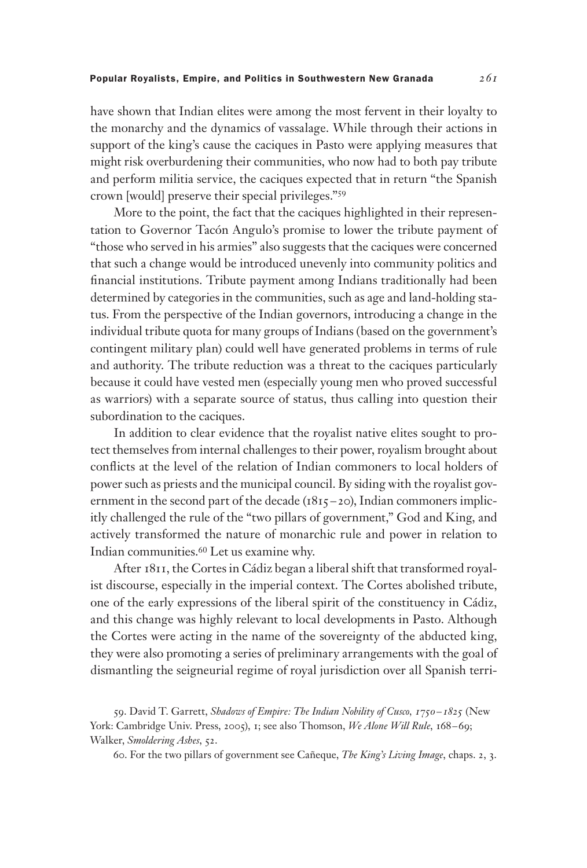have shown that Indian elites were among the most fervent in their loyalty to the monarchy and the dynamics of vassalage. While through their actions in support of the king's cause the caciques in Pasto were applying measures that might risk overburdening their communities, who now had to both pay tribute and perform militia service, the caciques expected that in return "the Spanish crown [would] preserve their special privileges."59

More to the point, the fact that the caciques highlighted in their representation to Governor Tacón Angulo's promise to lower the tribute payment of "those who served in his armies" also suggests that the caciques were concerned that such a change would be introduced unevenly into community politics and financial institutions. Tribute payment among Indians traditionally had been determined by categories in the communities, such as age and land-holding status. From the perspective of the Indian governors, introducing a change in the individual tribute quota for many groups of Indians (based on the government's contingent military plan) could well have generated problems in terms of rule and authority. The tribute reduction was a threat to the caciques particularly because it could have vested men (especially young men who proved successful as warriors) with a separate source of status, thus calling into question their subordination to the caciques.

In addition to clear evidence that the royalist native elites sought to protect themselves from internal challenges to their power, royalism brought about conflicts at the level of the relation of Indian commoners to local holders of power such as priests and the municipal council. By siding with the royalist government in the second part of the decade  $(1815 - 20)$ , Indian commoners implicitly challenged the rule of the "two pillars of government," God and King, and actively transformed the nature of monarchic rule and power in relation to Indian communities.60 Let us examine why.

After 1811, the Cortes in Cádiz began a liberal shift that transformed royalist discourse, especially in the imperial context. The Cortes abolished tribute, one of the early expressions of the liberal spirit of the constituency in Cádiz, and this change was highly relevant to local developments in Pasto. Although the Cortes were acting in the name of the sovereignty of the abducted king, they were also promoting a series of preliminary arrangements with the goal of dismantling the seigneurial regime of royal jurisdiction over all Spanish terri-

59. David T. Garrett, *Shadows of Empire: The Indian Nobility of Cusco, 1750–1825* (New York: Cambridge Univ. Press, 2005), 1; see also Thomson, *We Alone Will Rule*, 168-69; Walker, *Smoldering Ashes*, 52.

60. For the two pillars of government see Cañeque, *The King's Living Image*, chaps. 2, 3.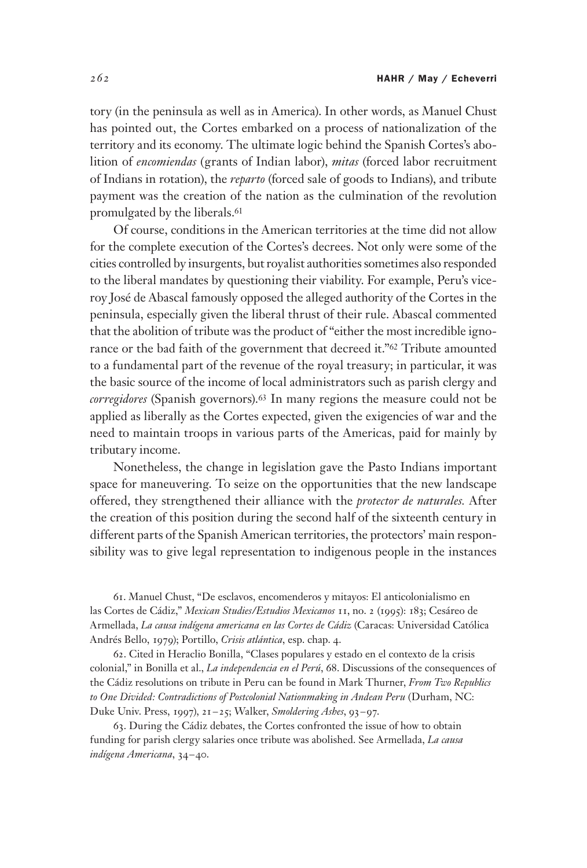tory (in the peninsula as well as in America). In other words, as Manuel Chust has pointed out, the Cortes embarked on a process of nationalization of the territory and its economy. The ultimate logic behind the Spanish Cortes's abolition of *encomiendas* (grants of Indian labor), *mitas* (forced labor recruitment of Indians in rotation), the *reparto* (forced sale of goods to Indians), and tribute payment was the creation of the nation as the culmination of the revolution promulgated by the liberals.<sup>61</sup>

Of course, conditions in the American territories at the time did not allow for the complete execution of the Cortes's decrees. Not only were some of the cities controlled by insurgents, but royalist authorities sometimes also responded to the liberal mandates by questioning their viability. For example, Peru's viceroy José de Abascal famously opposed the alleged authority of the Cortes in the peninsula, especially given the liberal thrust of their rule. Abascal commented that the abolition of tribute was the product of "either the most incredible ignorance or the bad faith of the government that decreed it."62 Tribute amounted to a fundamental part of the revenue of the royal treasury; in particular, it was the basic source of the income of local administrators such as parish clergy and *corregidores* (Spanish governors).63 In many regions the measure could not be applied as liberally as the Cortes expected, given the exigencies of war and the need to maintain troops in various parts of the Americas, paid for mainly by tributary income.

Nonetheless, the change in legislation gave the Pasto Indians important space for maneuvering. To seize on the opportunities that the new landscape offered, they strengthened their alliance with the *protector de naturales.* After the creation of this position during the second half of the sixteenth century in different parts of the Spanish American territories, the protectors' main responsibility was to give legal representation to indigenous people in the instances

61. Manuel Chust, "De esclavos, encomenderos y mitayos: El anticolonialismo en las Cortes de Cádiz," *Mexican Studies/Estudios Mexicanos* 11, no. 2 (1995): 183; Cesáreo de Armellada, *La causa indígena americana en las Cortes de Cádiz* (Caracas: Universidad Católica Andrés Bello, 1979); Portillo, *Crisis atlántica*, esp. chap. 4.

62. Cited in Heraclio Bonilla, "Clases populares y estado en el contexto de la crisis colonial," in Bonilla et al., *La independencia en el Perú*, 68. Discussions of the consequences of the Cádiz resolutions on tribute in Peru can be found in Mark Thurner, *From Two Republics to One Divided: Contradictions of Postcolonial Nationmaking in Andean Peru* (Durham, NC: Duke Univ. Press, 1997), 21–25; Walker, *Smoldering Ashes*, 93–97.

63. During the Cádiz debates, the Cortes confronted the issue of how to obtain funding for parish clergy salaries once tribute was abolished. See Armellada, *La causa indígena Americana*, 34–40.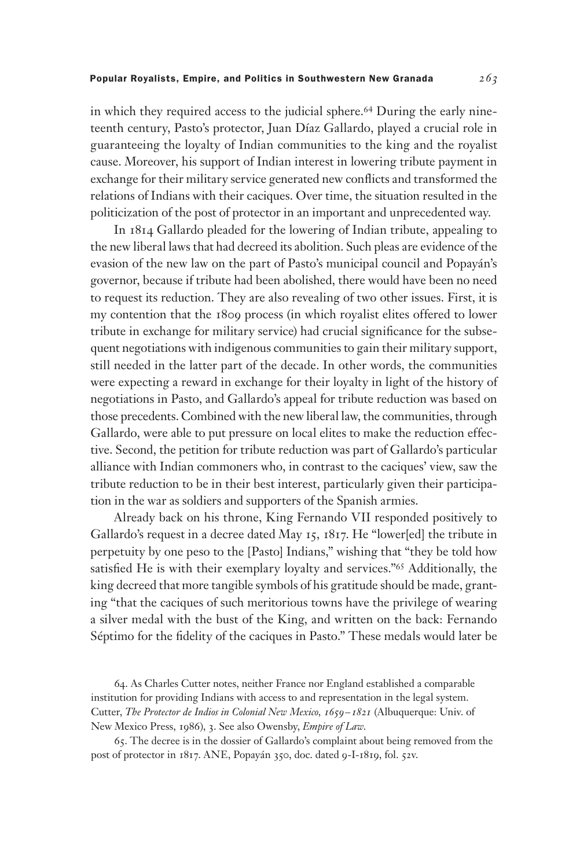in which they required access to the judicial sphere.64 During the early nineteenth century, Pasto's protector, Juan Díaz Gallardo, played a crucial role in guaranteeing the loyalty of Indian communities to the king and the royalist cause. Moreover, his support of Indian interest in lowering tribute payment in exchange for their military service generated new conflicts and transformed the relations of Indians with their caciques. Over time, the situation resulted in the politicization of the post of protector in an important and unprecedented way.

In 1814 Gallardo pleaded for the lowering of Indian tribute, appealing to the new liberal laws that had decreed its abolition. Such pleas are evidence of the evasion of the new law on the part of Pasto's municipal council and Popayán's governor, because if tribute had been abolished, there would have been no need to request its reduction. They are also revealing of two other issues. First, it is my contention that the 1809 process (in which royalist elites offered to lower tribute in exchange for military service) had crucial significance for the subsequent negotiations with indigenous communities to gain their military support, still needed in the latter part of the decade. In other words, the communities were expecting a reward in exchange for their loyalty in light of the history of negotiations in Pasto, and Gallardo's appeal for tribute reduction was based on those precedents. Combined with the new liberal law, the communities, through Gallardo, were able to put pressure on local elites to make the reduction effective. Second, the petition for tribute reduction was part of Gallardo's particular alliance with Indian commoners who, in contrast to the caciques' view, saw the tribute reduction to be in their best interest, particularly given their participation in the war as soldiers and supporters of the Spanish armies.

Already back on his throne, King Fernando VII responded positively to Gallardo's request in a decree dated May 15, 1817. He "lower[ed] the tribute in perpetuity by one peso to the [Pasto] Indians," wishing that "they be told how satisfied He is with their exemplary loyalty and services."65 Additionally, the king decreed that more tangible symbols of his gratitude should be made, granting "that the caciques of such meritorious towns have the privilege of wearing a silver medal with the bust of the King, and written on the back: Fernando Séptimo for the fidelity of the caciques in Pasto." These medals would later be

64. As Charles Cutter notes, neither France nor England established a comparable institution for providing Indians with access to and representation in the legal system. Cutter, *The Protector de Indios in Colonial New Mexico, 1659–1821* (Albuquerque: Univ. of New Mexico Press, 1986), 3. See also Owensby, *Empire of Law*.

65. The decree is in the dossier of Gallardo's complaint about being removed from the post of protector in 1817. ANE, Popayán 350, doc. dated 9-I-1819, fol. 52v.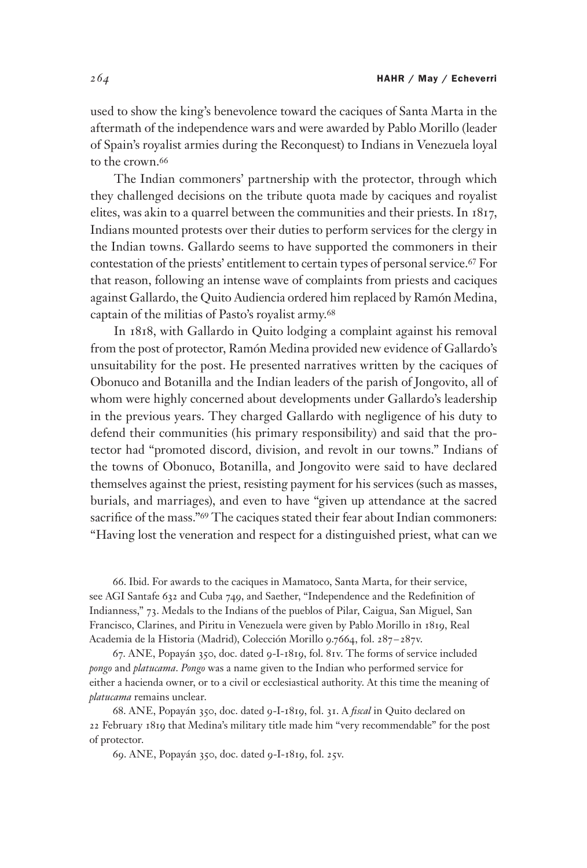used to show the king's benevolence toward the caciques of Santa Marta in the aftermath of the independence wars and were awarded by Pablo Morillo (leader of Spain's royalist armies during the Reconquest) to Indians in Venezuela loyal to the crown.<sup>66</sup>

The Indian commoners' partnership with the protector, through which they challenged decisions on the tribute quota made by caciques and royalist elites, was akin to a quarrel between the communities and their priests. In 1817, Indians mounted protests over their duties to perform services for the clergy in the Indian towns. Gallardo seems to have supported the commoners in their contestation of the priests' entitlement to certain types of personal service.67 For that reason, following an intense wave of complaints from priests and caciques against Gallardo, the Quito Audiencia ordered him replaced by Ramón Medina, captain of the militias of Pasto's royalist army.68

In 1818, with Gallardo in Quito lodging a complaint against his removal from the post of protector, Ramón Medina provided new evidence of Gallardo's unsuitability for the post. He presented narratives written by the caciques of Obonuco and Botanilla and the Indian leaders of the parish of Jongovito, all of whom were highly concerned about developments under Gallardo's leadership in the previous years. They charged Gallardo with negligence of his duty to defend their communities (his primary responsibility) and said that the protector had "promoted discord, division, and revolt in our towns." Indians of the towns of Obonuco, Botanilla, and Jongovito were said to have declared themselves against the priest, resisting payment for his services (such as masses, burials, and marriages), and even to have "given up attendance at the sacred sacrifice of the mass."<sup>69</sup> The caciques stated their fear about Indian commoners: "Having lost the veneration and respect for a distinguished priest, what can we

66. Ibid. For awards to the caciques in Mamatoco, Santa Marta, for their service, see AGI Santafe 632 and Cuba 749, and Saether, "Independence and the Redefinition of Indianness," 73. Medals to the Indians of the pueblos of Pilar, Caigua, San Miguel, San Francisco, Clarines, and Piritu in Venezuela were given by Pablo Morillo in 1819, Real Academia de la Historia (Madrid), Colección Morillo 9.7664, fol. 287–287v.

67. ANE, Popayán 350, doc. dated 9-I-1819, fol. 81v. The forms of service included *pongo* and *platucama*. *Pongo* was a name given to the Indian who performed service for either a hacienda owner, or to a civil or ecclesiastical authority. At this time the meaning of *platucama* remains unclear.

68. ANE, Popayán 350, doc. dated 9-I-1819, fol. 31. A *fiscal* in Quito declared on 22 February 1819 that Medina's military title made him "very recommendable" for the post of protector.

69. ANE, Popayán 350, doc. dated 9-I-1819, fol. 25v.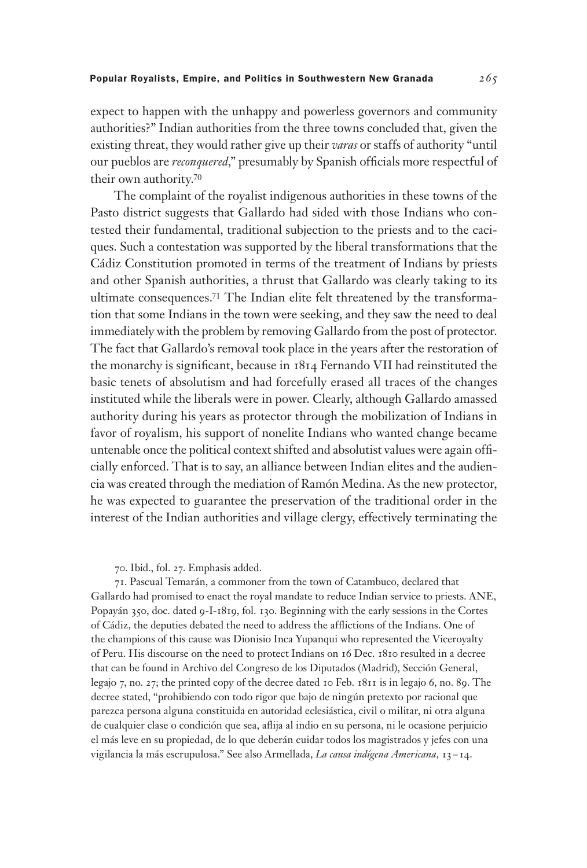expect to happen with the unhappy and powerless governors and community authorities?" Indian authorities from the three towns concluded that, given the existing threat, they would rather give up their *varas* or staffs of authority "until our pueblos are *reconquered*," presumably by Spanish officials more respectful of their own authority.70

The complaint of the royalist indigenous authorities in these towns of the Pasto district suggests that Gallardo had sided with those Indians who contested their fundamental, traditional subjection to the priests and to the caciques. Such a contestation was supported by the liberal transformations that the Cádiz Constitution promoted in terms of the treatment of Indians by priests and other Spanish authorities, a thrust that Gallardo was clearly taking to its ultimate consequences.71 The Indian elite felt threatened by the transformation that some Indians in the town were seeking, and they saw the need to deal immediately with the problem by removing Gallardo from the post of protector. The fact that Gallardo's removal took place in the years after the restoration of the monarchy is significant, because in 1814 Fernando VII had reinstituted the basic tenets of absolutism and had forcefully erased all traces of the changes instituted while the liberals were in power. Clearly, although Gallardo amassed authority during his years as protector through the mobilization of Indians in favor of royalism, his support of nonelite Indians who wanted change became untenable once the political context shifted and absolutist values were again officially enforced. That is to say, an alliance between Indian elites and the audiencia was created through the mediation of Ramón Medina. As the new protector, he was expected to guarantee the preservation of the traditional order in the interest of the Indian authorities and village clergy, effectively terminating the

70. Ibid., fol. 27. Emphasis added.

71. Pascual Temarán, a commoner from the town of Catambuco, declared that Gallardo had promised to enact the royal mandate to reduce Indian service to priests. ANE, Popayán 350, doc. dated 9-I-1819, fol. 130. Beginning with the early sessions in the Cortes of Cádiz, the deputies debated the need to address the afflictions of the Indians. One of the champions of this cause was Dionisio Inca Yupanqui who represented the Viceroyalty of Peru. His discourse on the need to protect Indians on 16 Dec. 1810 resulted in a decree that can be found in Archivo del Congreso de los Diputados (Madrid), Sección General, legajo 7, no. 27; the printed copy of the decree dated 10 Feb. 1811 is in legajo 6, no. 89. The decree stated, "prohibiendo con todo rigor que bajo de ningún pretexto por racional que parezca persona alguna constituida en autoridad eclesiástica, civil o militar, ni otra alguna de cualquier clase o condición que sea, aflija al indio en su persona, ni le ocasione perjuicio el más leve en su propiedad, de lo que deberán cuidar todos los magistrados y jefes con una vigilancia la más escrupulosa." See also Armellada, *La causa indígena Americana*, 13–14.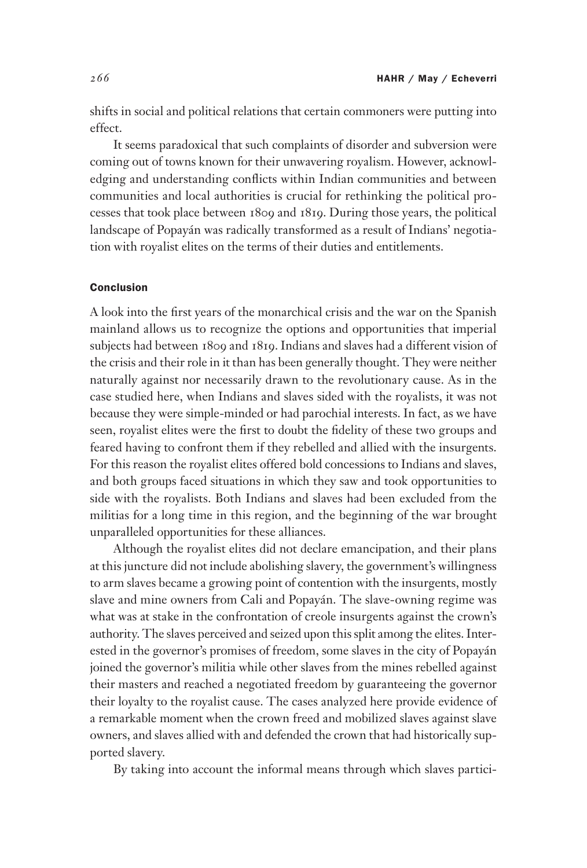shifts in social and political relations that certain commoners were putting into effect.

It seems paradoxical that such complaints of disorder and subversion were coming out of towns known for their unwavering royalism. However, acknowledging and understanding conflicts within Indian communities and between communities and local authorities is crucial for rethinking the political processes that took place between 1809 and 1819. During those years, the political landscape of Popayán was radically transformed as a result of Indians' negotiation with royalist elites on the terms of their duties and entitlements.

## Conclusion

A look into the first years of the monarchical crisis and the war on the Spanish mainland allows us to recognize the options and opportunities that imperial subjects had between 1809 and 1819. Indians and slaves had a different vision of the crisis and their role in it than has been generally thought. They were neither naturally against nor necessarily drawn to the revolutionary cause. As in the case studied here, when Indians and slaves sided with the royalists, it was not because they were simple-minded or had parochial interests. In fact, as we have seen, royalist elites were the first to doubt the fidelity of these two groups and feared having to confront them if they rebelled and allied with the insurgents. For this reason the royalist elites offered bold concessions to Indians and slaves, and both groups faced situations in which they saw and took opportunities to side with the royalists. Both Indians and slaves had been excluded from the militias for a long time in this region, and the beginning of the war brought unparalleled opportunities for these alliances.

Although the royalist elites did not declare emancipation, and their plans at this juncture did not include abolishing slavery, the government's willingness to arm slaves became a growing point of contention with the insurgents, mostly slave and mine owners from Cali and Popayán. The slave-owning regime was what was at stake in the confrontation of creole insurgents against the crown's authority. The slaves perceived and seized upon this split among the elites. Interested in the governor's promises of freedom, some slaves in the city of Popayán joined the governor's militia while other slaves from the mines rebelled against their masters and reached a negotiated freedom by guaranteeing the governor their loyalty to the royalist cause. The cases analyzed here provide evidence of a remarkable moment when the crown freed and mobilized slaves against slave owners, and slaves allied with and defended the crown that had historically supported slavery.

By taking into account the informal means through which slaves partici-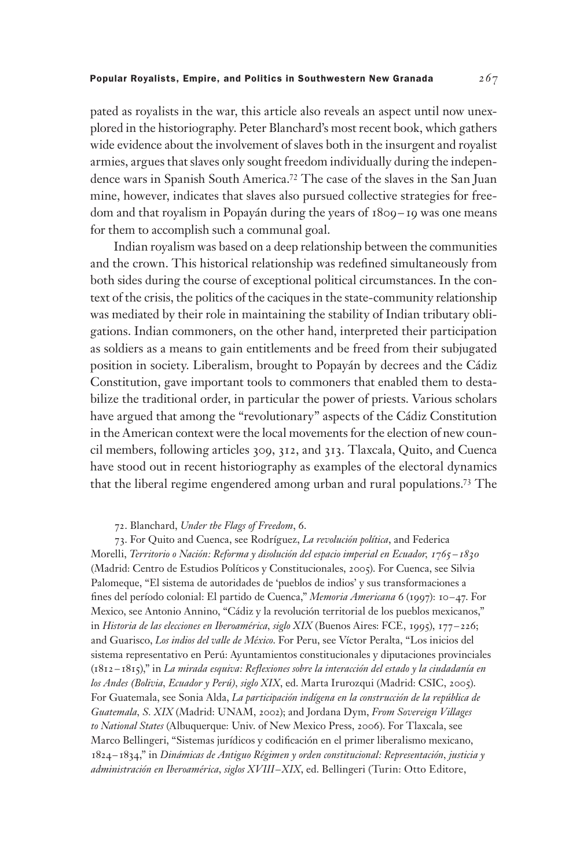pated as royalists in the war, this article also reveals an aspect until now unexplored in the historiography. Peter Blanchard's most recent book, which gathers wide evidence about the involvement of slaves both in the insurgent and royalist armies, argues that slaves only sought freedom individually during the independence wars in Spanish South America.72 The case of the slaves in the San Juan mine, however, indicates that slaves also pursued collective strategies for freedom and that royalism in Popayán during the years of 1809–19 was one means for them to accomplish such a communal goal.

Indian royalism was based on a deep relationship between the communities and the crown. This historical relationship was redefined simultaneously from both sides during the course of exceptional political circumstances. In the context of the crisis, the politics of the caciques in the state-community relationship was mediated by their role in maintaining the stability of Indian tributary obligations. Indian commoners, on the other hand, interpreted their participation as soldiers as a means to gain entitlements and be freed from their subjugated position in society. Liberalism, brought to Popayán by decrees and the Cádiz Constitution, gave important tools to commoners that enabled them to destabilize the traditional order, in particular the power of priests. Various scholars have argued that among the "revolutionary" aspects of the Cádiz Constitution in the American context were the local movements for the election of new council members, following articles 309, 312, and 313. Tlaxcala, Quito, and Cuenca have stood out in recent historiography as examples of the electoral dynamics that the liberal regime engendered among urban and rural populations.73 The

# 72. Blanchard, *Under the Flags of Freedom*, 6.

73. For Quito and Cuenca, see Rodríguez, *La revolución política*, and Federica Morelli, *Territorio o Nación: Reforma y disolución del espacio imperial en Ecuador, 1765–1830*  (Madrid: Centro de Estudios Políticos y Constitucionales, 2005). For Cuenca, see Silvia Palomeque, "El sistema de autoridades de 'pueblos de indios' y sus transformaciones a fines del período colonial: El partido de Cuenca," *Memoria Americana* 6 (1997): 10–47. For Mexico, see Antonio Annino, "Cádiz y la revolución territorial de los pueblos mexicanos," in *Historia de las elecciones en Iberoamérica, siglo XIX* (Buenos Aires: FCE, 1995), 177–226; and Guarisco, *Los indios del valle de México*. For Peru, see Víctor Peralta, "Los inicios del sistema representativo en Perú: Ayuntamientos constitucionales y diputaciones provinciales (1812–1815)," in *La mirada esquiva: Reflexiones sobre la interacción del estado y la ciudadanía en los Andes (Bolivia, Ecuador y Perú), siglo XIX*, ed. Marta Irurozqui (Madrid: CSIC, 2005). For Guatemala, see Sonia Alda, *La participación indígena en la construcción de la república de Guatemala, S. XIX* (Madrid: UNAM, 2002); and Jordana Dym, *From Sovereign Villages to National States* (Albuquerque: Univ. of New Mexico Press, 2006). For Tlaxcala, see Marco Bellingeri, "Sistemas jurídicos y codificación en el primer liberalismo mexicano, 1824–1834," in *Dinámicas de Antiguo Régimen y orden constitucional: Representación, justicia y administración en Iberoamérica, siglos XVIII–XIX*, ed. Bellingeri (Turin: Otto Editore,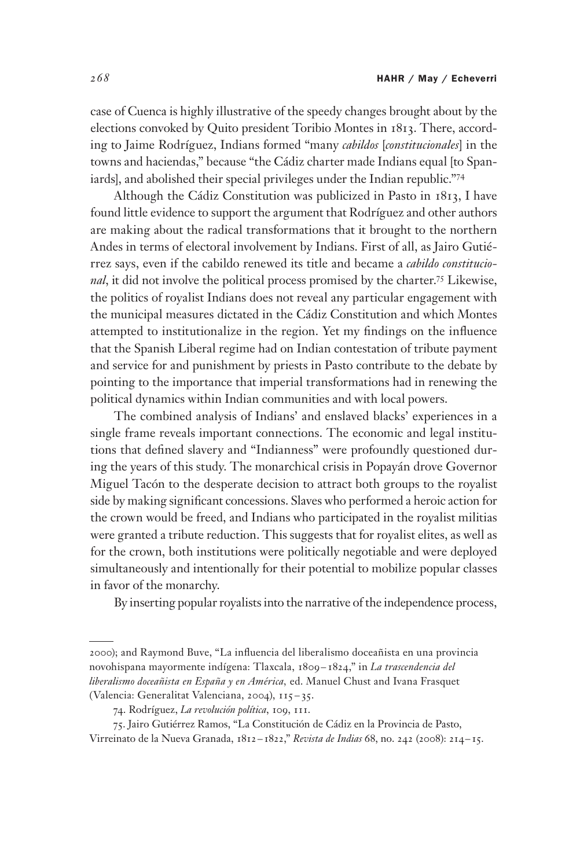case of Cuenca is highly illustrative of the speedy changes brought about by the elections convoked by Quito president Toribio Montes in 1813. There, according to Jaime Rodríguez, Indians formed "many *cabildos* [*constitucionales*] in the towns and haciendas," because "the Cádiz charter made Indians equal [to Spaniards], and abolished their special privileges under the Indian republic."74

Although the Cádiz Constitution was publicized in Pasto in 1813, I have found little evidence to support the argument that Rodríguez and other authors are making about the radical transformations that it brought to the northern Andes in terms of electoral involvement by Indians. First of all, as Jairo Gutiérrez says, even if the cabildo renewed its title and became a *cabildo constitucional*, it did not involve the political process promised by the charter.75 Likewise, the politics of royalist Indians does not reveal any particular engagement with the municipal measures dictated in the Cádiz Constitution and which Montes attempted to institutionalize in the region. Yet my findings on the influence that the Spanish Liberal regime had on Indian contestation of tribute payment and service for and punishment by priests in Pasto contribute to the debate by pointing to the importance that imperial transformations had in renewing the political dynamics within Indian communities and with local powers.

The combined analysis of Indians' and enslaved blacks' experiences in a single frame reveals important connections. The economic and legal institutions that defined slavery and "Indianness" were profoundly questioned during the years of this study. The monarchical crisis in Popayán drove Governor Miguel Tacón to the desperate decision to attract both groups to the royalist side by making significant concessions. Slaves who performed a heroic action for the crown would be freed, and Indians who participated in the royalist militias were granted a tribute reduction. This suggests that for royalist elites, as well as for the crown, both institutions were politically negotiable and were deployed simultaneously and intentionally for their potential to mobilize popular classes in favor of the monarchy.

By inserting popular royalists into the narrative of the independence process,

<sup>2000</sup>); and Raymond Buve, "La influencia del liberalismo doceañista en una provincia novohispana mayormente indígena: Tlaxcala, 1809–1824," in *La trascendencia del liberalismo doceañista en España y en América,* ed. Manuel Chust and Ivana Frasquet (Valencia: Generalitat Valenciana, 2004), 115–35.

<sup>74</sup>. Rodríguez, *La revolución política*, 109, 111.

<sup>75</sup>. Jairo Gutiérrez Ramos, "La Constitución de Cádiz en la Provincia de Pasto, Virreinato de la Nueva Granada, 1812–1822," *Revista de Indias* 68, no. 242 (2008): 214–15.